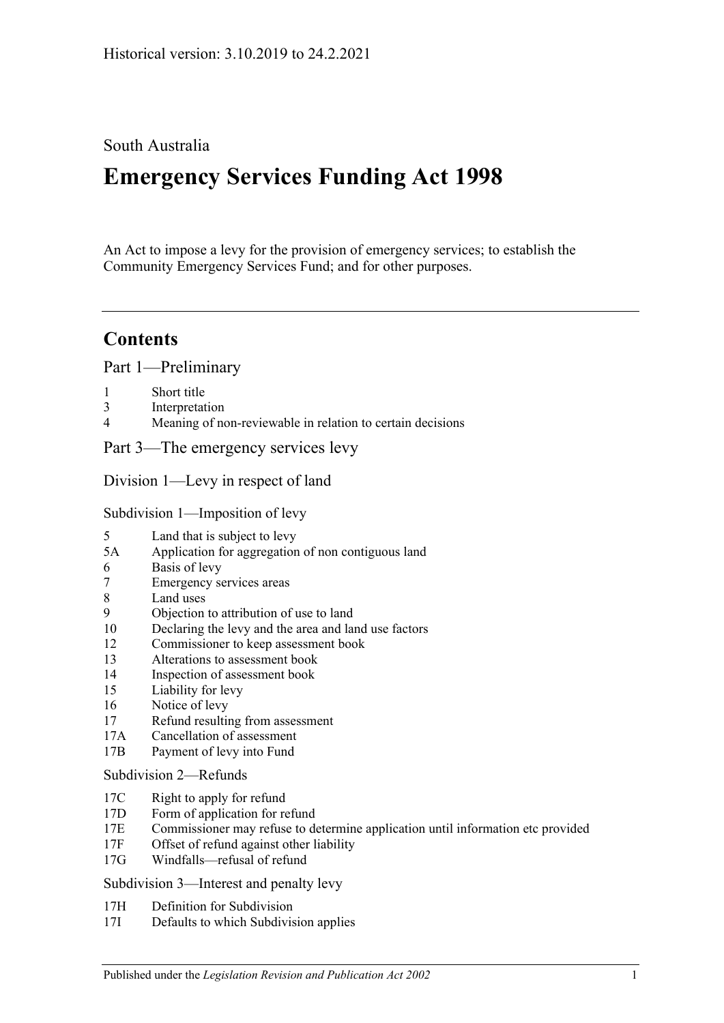## South Australia

# **Emergency Services Funding Act 1998**

An Act to impose a levy for the provision of emergency services; to establish the Community Emergency Services Fund; and for other purposes.

## **Contents**

[Part 1—Preliminary](#page-2-0)

- 1 [Short title](#page-2-1)
- 3 [Interpretation](#page-2-2)
- 4 [Meaning of non-reviewable in relation to certain decisions](#page-4-0)

[Part 3—The emergency services levy](#page-4-1)

[Division 1—Levy in respect of land](#page-4-2)

[Subdivision 1—Imposition of levy](#page-4-3)

- 5 [Land that is subject to levy](#page-4-4)
- 5A [Application for aggregation of non contiguous land](#page-6-0)
- 6 [Basis of levy](#page-6-1)
- 7 [Emergency services areas](#page-7-0)
- 8 [Land uses](#page-7-1)
- 9 [Objection to attribution of use to land](#page-8-0)
- 10 [Declaring the levy and the area and land use factors](#page-9-0)
- 12 [Commissioner to keep assessment book](#page-10-0)
- 13 [Alterations to assessment book](#page-11-0)
- 14 [Inspection of assessment book](#page-11-1)
- 15 [Liability for levy](#page-11-2)
- 16 [Notice of levy](#page-12-0)
- 17 [Refund resulting from assessment](#page-12-1)
- 17A [Cancellation of assessment](#page-13-0)
- 17B [Payment of levy into Fund](#page-13-1)

#### [Subdivision 2—Refunds](#page-13-2)

- 17C [Right to apply for refund](#page-13-3)
- 17D [Form of application for refund](#page-13-4)
- 17E [Commissioner may refuse to determine application until information etc provided](#page-13-5)
- 17F [Offset of refund against other liability](#page-14-0)
- 17G [Windfalls—refusal of refund](#page-14-1)

[Subdivision 3—Interest and penalty levy](#page-14-2)

- 17H [Definition for Subdivision](#page-14-3)
- 17I [Defaults to which Subdivision applies](#page-14-4)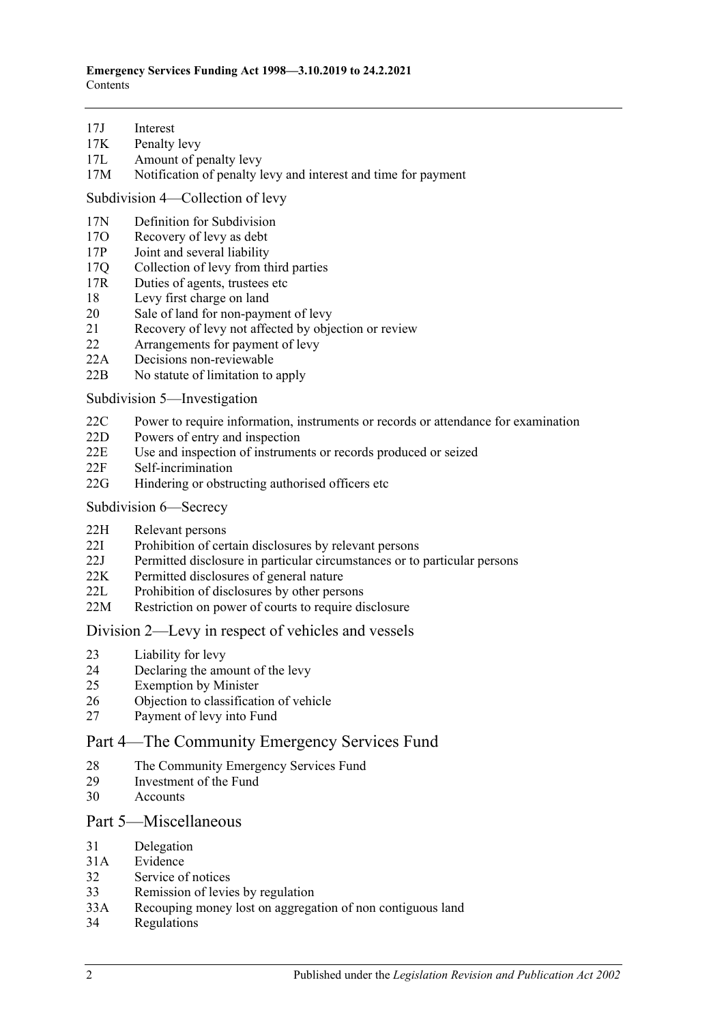- 17J [Interest](#page-14-5)
- 17K [Penalty levy](#page-15-0)
- 17L [Amount of penalty levy](#page-15-1)
- 17M [Notification of penalty levy and interest and time for payment](#page-16-0)

[Subdivision 4—Collection of levy](#page-16-1)

- 17N [Definition for Subdivision](#page-16-2)
- 17O [Recovery of levy as debt](#page-16-3)
- 17P [Joint and several liability](#page-16-4)
- 17Q [Collection of levy from third parties](#page-16-5)
- 17R [Duties of agents, trustees etc](#page-17-0)
- 18 [Levy first charge on land](#page-18-0)
- 20 [Sale of land for non-payment of levy](#page-18-1)
- 21 [Recovery of levy not affected by objection or review](#page-19-0)
- 22 [Arrangements for payment of levy](#page-20-0)
- 22A [Decisions non-reviewable](#page-20-1)
- 22B [No statute of limitation to apply](#page-20-2)

[Subdivision 5—Investigation](#page-20-3)

- 22C [Power to require information, instruments or records or attendance for examination](#page-20-4)
- 22D [Powers of entry and inspection](#page-21-0)
- 22E [Use and inspection of instruments or records produced or seized](#page-22-0)
- 22F [Self-incrimination](#page-22-1)
- 22G [Hindering or obstructing authorised officers etc](#page-22-2)
- [Subdivision 6—Secrecy](#page-23-0)
- 22H [Relevant persons](#page-23-1)
- 22I [Prohibition of certain disclosures by relevant persons](#page-23-2)
- 22J [Permitted disclosure in particular circumstances or to particular persons](#page-23-3)
- 22K [Permitted disclosures of general nature](#page-23-4)
- 22L [Prohibition of disclosures by other persons](#page-23-5)
- 22M [Restriction on power of courts to require disclosure](#page-24-0)

#### [Division 2—Levy in respect of vehicles and vessels](#page-24-1)

- 23 [Liability for levy](#page-24-2)
- 24 [Declaring the amount of the levy](#page-24-3)
- 25 [Exemption by Minister](#page-25-0)
- 26 [Objection to classification of vehicle](#page-25-1)
- 27 [Payment of levy into Fund](#page-26-0)

## [Part 4—The Community Emergency Services Fund](#page-26-1)

- 28 [The Community Emergency Services Fund](#page-26-2)
- 29 [Investment of the Fund](#page-27-0)
- 30 [Accounts](#page-27-1)

## [Part 5—Miscellaneous](#page-27-2)

- 31 [Delegation](#page-27-3)
- 31A [Evidence](#page-28-0)
- 32 [Service of notices](#page-28-1)
- 33 [Remission of levies by regulation](#page-29-0)
- 33A [Recouping money lost on aggregation of non contiguous land](#page-29-1)
- 34 [Regulations](#page-29-2)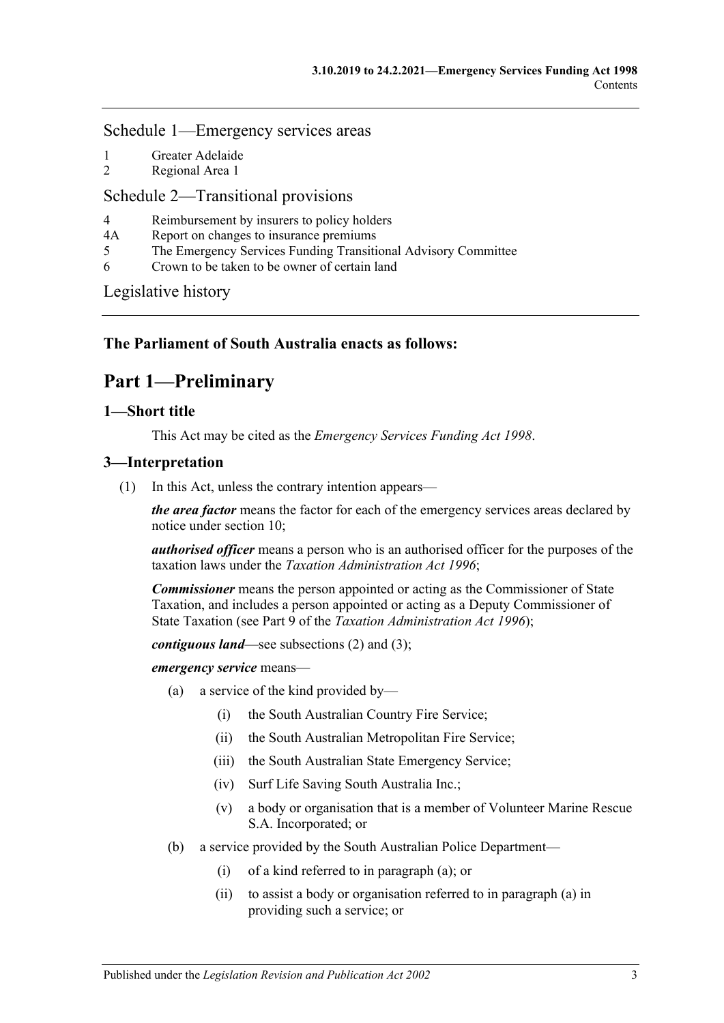## [Schedule 1—Emergency services areas](#page-29-3)

- 1 [Greater Adelaide](#page-29-4)
- 2 [Regional Area 1](#page-30-0)

## [Schedule 2—Transitional provisions](#page-31-0)

- 4 [Reimbursement by insurers to policy holders](#page-31-1)
- 4A [Report on changes to insurance premiums](#page-31-2)
- 5 [The Emergency Services Funding Transitional Advisory Committee](#page-31-3)
- 6 [Crown to be taken to be owner of certain land](#page-32-0)

[Legislative history](#page-34-0)

## <span id="page-2-0"></span>**The Parliament of South Australia enacts as follows:**

## **Part 1—Preliminary**

## <span id="page-2-1"></span>**1—Short title**

This Act may be cited as the *Emergency Services Funding Act 1998*.

## <span id="page-2-5"></span><span id="page-2-2"></span>**3—Interpretation**

(1) In this Act, unless the contrary intention appears—

*the area factor* means the factor for each of the emergency services areas declared by notice under [section](#page-9-0) 10;

*authorised officer* means a person who is an authorised officer for the purposes of the taxation laws under the *[Taxation Administration Act](http://www.legislation.sa.gov.au/index.aspx?action=legref&type=act&legtitle=Taxation%20Administration%20Act%201996) 1996*;

*Commissioner* means the person appointed or acting as the Commissioner of State Taxation, and includes a person appointed or acting as a Deputy Commissioner of State Taxation (see Part 9 of the *[Taxation Administration Act](http://www.legislation.sa.gov.au/index.aspx?action=legref&type=act&legtitle=Taxation%20Administration%20Act%201996) 1996*);

*contiguous land*—see [subsections](#page-4-5) (2) and [\(3\);](#page-4-6)

<span id="page-2-3"></span>*emergency service* means—

- (a) a service of the kind provided by—
	- (i) the South Australian Country Fire Service;
	- (ii) the South Australian Metropolitan Fire Service;
	- (iii) the South Australian State Emergency Service;
	- (iv) Surf Life Saving South Australia Inc.;
	- (v) a body or organisation that is a member of Volunteer Marine Rescue S.A. Incorporated; or
- <span id="page-2-4"></span>(b) a service provided by the South Australian Police Department—
	- (i) of a kind referred to in [paragraph](#page-2-3) (a); or
	- (ii) to assist a body or organisation referred to in [paragraph](#page-2-3) (a) in providing such a service; or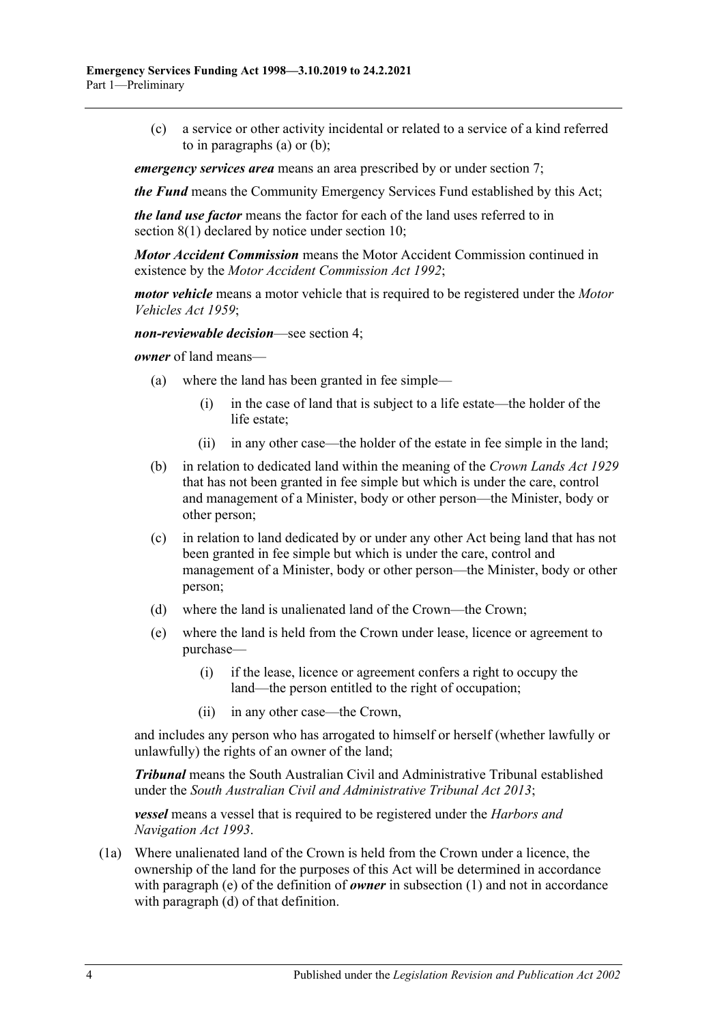(c) a service or other activity incidental or related to a service of a kind referred to in [paragraphs](#page-2-3) (a) or [\(b\);](#page-2-4)

*emergency services area* means an area prescribed by or under [section](#page-7-0) 7;

*the Fund* means the Community Emergency Services Fund established by this Act;

*the land use factor* means the factor for each of the land uses referred to in [section](#page-7-2) 8(1) declared by notice under [section](#page-9-0) 10;

*Motor Accident Commission* means the Motor Accident Commission continued in existence by the *[Motor Accident Commission Act](http://www.legislation.sa.gov.au/index.aspx?action=legref&type=act&legtitle=Motor%20Accident%20Commission%20Act%201992) 1992*;

*motor vehicle* means a motor vehicle that is required to be registered under the *[Motor](http://www.legislation.sa.gov.au/index.aspx?action=legref&type=act&legtitle=Motor%20Vehicles%20Act%201959)  [Vehicles Act](http://www.legislation.sa.gov.au/index.aspx?action=legref&type=act&legtitle=Motor%20Vehicles%20Act%201959) 1959*;

*non-reviewable decision*—see [section](#page-4-0) 4;

*owner* of land means—

- (a) where the land has been granted in fee simple—
	- (i) in the case of land that is subject to a life estate—the holder of the life estate;
	- (ii) in any other case—the holder of the estate in fee simple in the land;
- (b) in relation to dedicated land within the meaning of the *[Crown Lands Act](http://www.legislation.sa.gov.au/index.aspx?action=legref&type=act&legtitle=Crown%20Lands%20Act%201929) 1929* that has not been granted in fee simple but which is under the care, control and management of a Minister, body or other person—the Minister, body or other person;
- (c) in relation to land dedicated by or under any other Act being land that has not been granted in fee simple but which is under the care, control and management of a Minister, body or other person—the Minister, body or other person;
- <span id="page-3-1"></span>(d) where the land is unalienated land of the Crown—the Crown;
- <span id="page-3-0"></span>(e) where the land is held from the Crown under lease, licence or agreement to purchase—
	- (i) if the lease, licence or agreement confers a right to occupy the land—the person entitled to the right of occupation;
	- (ii) in any other case—the Crown,

and includes any person who has arrogated to himself or herself (whether lawfully or unlawfully) the rights of an owner of the land;

*Tribunal* means the South Australian Civil and Administrative Tribunal established under the *[South Australian Civil and Administrative Tribunal Act](http://www.legislation.sa.gov.au/index.aspx?action=legref&type=act&legtitle=South%20Australian%20Civil%20and%20Administrative%20Tribunal%20Act%202013) 2013*;

*vessel* means a vessel that is required to be registered under the *[Harbors and](http://www.legislation.sa.gov.au/index.aspx?action=legref&type=act&legtitle=Harbors%20and%20Navigation%20Act%201993)  [Navigation Act](http://www.legislation.sa.gov.au/index.aspx?action=legref&type=act&legtitle=Harbors%20and%20Navigation%20Act%201993) 1993*.

(1a) Where unalienated land of the Crown is held from the Crown under a licence, the ownership of the land for the purposes of this Act will be determined in accordance with [paragraph](#page-3-0) (e) of the definition of *owner* in [subsection](#page-2-5) (1) and not in accordance with [paragraph](#page-3-1) (d) of that definition.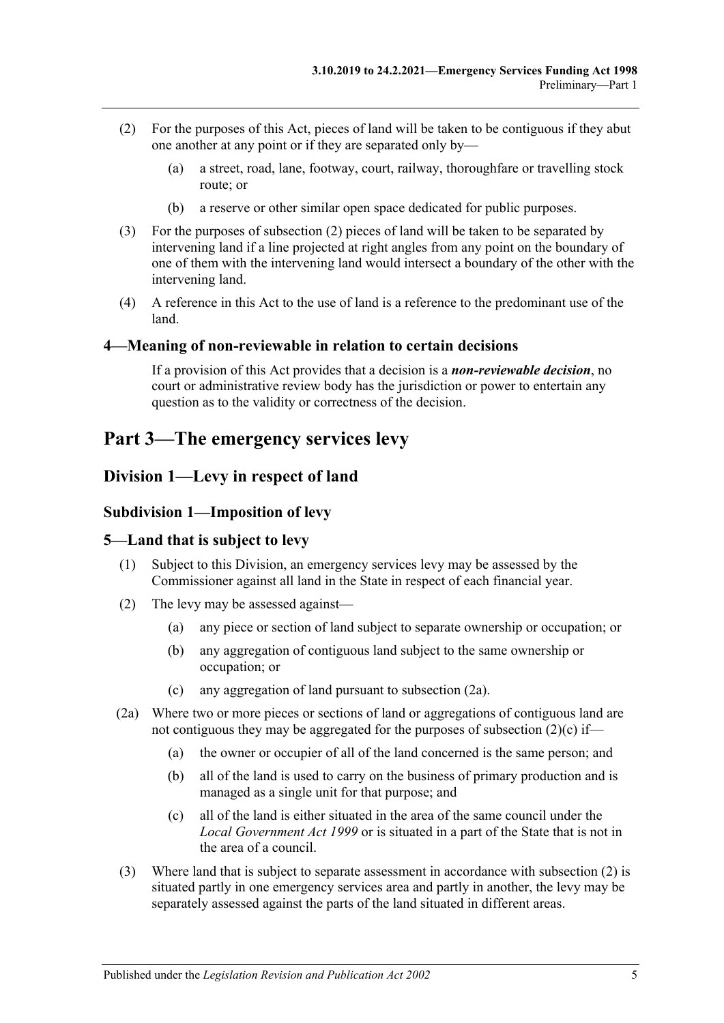- <span id="page-4-5"></span>(2) For the purposes of this Act, pieces of land will be taken to be contiguous if they abut one another at any point or if they are separated only by—
	- (a) a street, road, lane, footway, court, railway, thoroughfare or travelling stock route; or
	- (b) a reserve or other similar open space dedicated for public purposes.
- <span id="page-4-6"></span>(3) For the purposes of [subsection](#page-4-5) (2) pieces of land will be taken to be separated by intervening land if a line projected at right angles from any point on the boundary of one of them with the intervening land would intersect a boundary of the other with the intervening land.
- (4) A reference in this Act to the use of land is a reference to the predominant use of the land.

#### <span id="page-4-0"></span>**4—Meaning of non-reviewable in relation to certain decisions**

If a provision of this Act provides that a decision is a *non-reviewable decision*, no court or administrative review body has the jurisdiction or power to entertain any question as to the validity or correctness of the decision.

## <span id="page-4-1"></span>**Part 3—The emergency services levy**

## <span id="page-4-3"></span><span id="page-4-2"></span>**Division 1—Levy in respect of land**

#### **Subdivision 1—Imposition of levy**

#### <span id="page-4-4"></span>**5—Land that is subject to levy**

- (1) Subject to this Division, an emergency services levy may be assessed by the Commissioner against all land in the State in respect of each financial year.
- <span id="page-4-9"></span>(2) The levy may be assessed against—
	- (a) any piece or section of land subject to separate ownership or occupation; or
	- (b) any aggregation of contiguous land subject to the same ownership or occupation; or
	- (c) any aggregation of land pursuant to [subsection](#page-4-7) (2a).
- <span id="page-4-8"></span><span id="page-4-7"></span>(2a) Where two or more pieces or sections of land or aggregations of contiguous land are not contiguous they may be aggregated for the purposes of [subsection](#page-4-8)  $(2)(c)$  if—
	- (a) the owner or occupier of all of the land concerned is the same person; and
	- (b) all of the land is used to carry on the business of primary production and is managed as a single unit for that purpose; and
	- (c) all of the land is either situated in the area of the same council under the *[Local Government Act](http://www.legislation.sa.gov.au/index.aspx?action=legref&type=act&legtitle=Local%20Government%20Act%201999) 1999* or is situated in a part of the State that is not in the area of a council.
- (3) Where land that is subject to separate assessment in accordance with [subsection](#page-4-9) (2) is situated partly in one emergency services area and partly in another, the levy may be separately assessed against the parts of the land situated in different areas.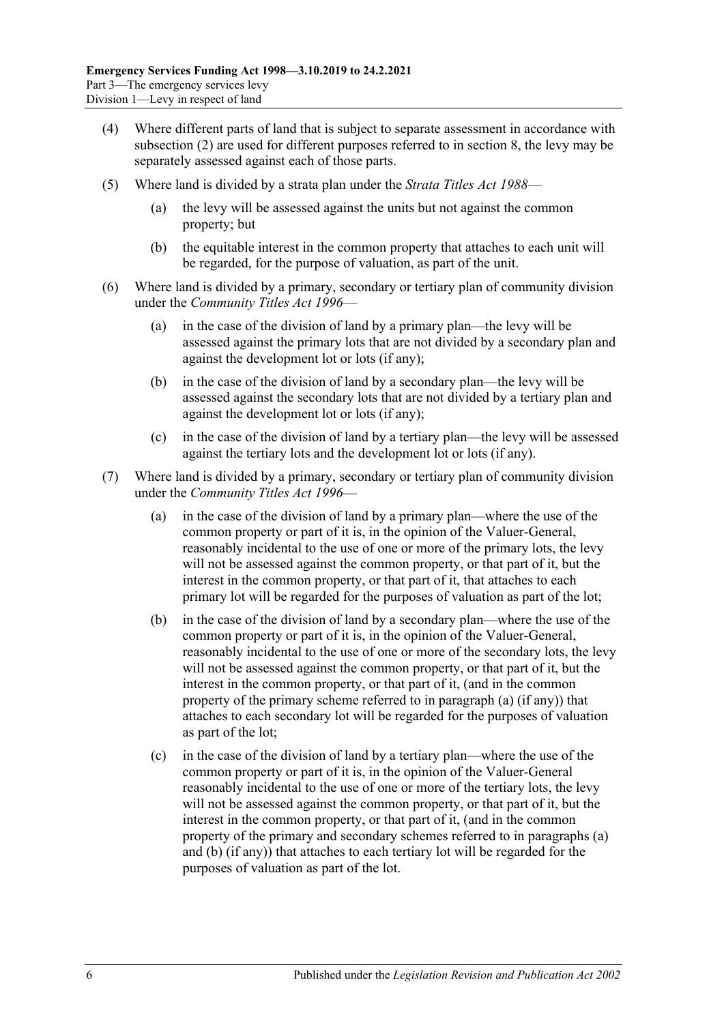- (4) Where different parts of land that is subject to separate assessment in accordance with [subsection](#page-4-9) (2) are used for different purposes referred to in [section](#page-7-1) 8, the levy may be separately assessed against each of those parts.
- (5) Where land is divided by a strata plan under the *[Strata Titles Act](http://www.legislation.sa.gov.au/index.aspx?action=legref&type=act&legtitle=Strata%20Titles%20Act%201988) 1988*
	- the levy will be assessed against the units but not against the common property; but
	- (b) the equitable interest in the common property that attaches to each unit will be regarded, for the purpose of valuation, as part of the unit.
- (6) Where land is divided by a primary, secondary or tertiary plan of community division under the *[Community Titles Act](http://www.legislation.sa.gov.au/index.aspx?action=legref&type=act&legtitle=Community%20Titles%20Act%201996) 1996*—
	- (a) in the case of the division of land by a primary plan—the levy will be assessed against the primary lots that are not divided by a secondary plan and against the development lot or lots (if any);
	- (b) in the case of the division of land by a secondary plan—the levy will be assessed against the secondary lots that are not divided by a tertiary plan and against the development lot or lots (if any);
	- (c) in the case of the division of land by a tertiary plan—the levy will be assessed against the tertiary lots and the development lot or lots (if any).
- <span id="page-5-1"></span><span id="page-5-0"></span>(7) Where land is divided by a primary, secondary or tertiary plan of community division under the *[Community Titles Act](http://www.legislation.sa.gov.au/index.aspx?action=legref&type=act&legtitle=Community%20Titles%20Act%201996) 1996*—
	- (a) in the case of the division of land by a primary plan—where the use of the common property or part of it is, in the opinion of the Valuer-General, reasonably incidental to the use of one or more of the primary lots, the levy will not be assessed against the common property, or that part of it, but the interest in the common property, or that part of it, that attaches to each primary lot will be regarded for the purposes of valuation as part of the lot;
	- (b) in the case of the division of land by a secondary plan—where the use of the common property or part of it is, in the opinion of the Valuer-General, reasonably incidental to the use of one or more of the secondary lots, the levy will not be assessed against the common property, or that part of it, but the interest in the common property, or that part of it, (and in the common property of the primary scheme referred to in [paragraph](#page-5-0) (a) (if any)) that attaches to each secondary lot will be regarded for the purposes of valuation as part of the lot;
	- (c) in the case of the division of land by a tertiary plan—where the use of the common property or part of it is, in the opinion of the Valuer-General reasonably incidental to the use of one or more of the tertiary lots, the levy will not be assessed against the common property, or that part of it, but the interest in the common property, or that part of it, (and in the common property of the primary and secondary schemes referred to in [paragraphs](#page-5-0) (a) and [\(b\)](#page-5-1) (if any)) that attaches to each tertiary lot will be regarded for the purposes of valuation as part of the lot.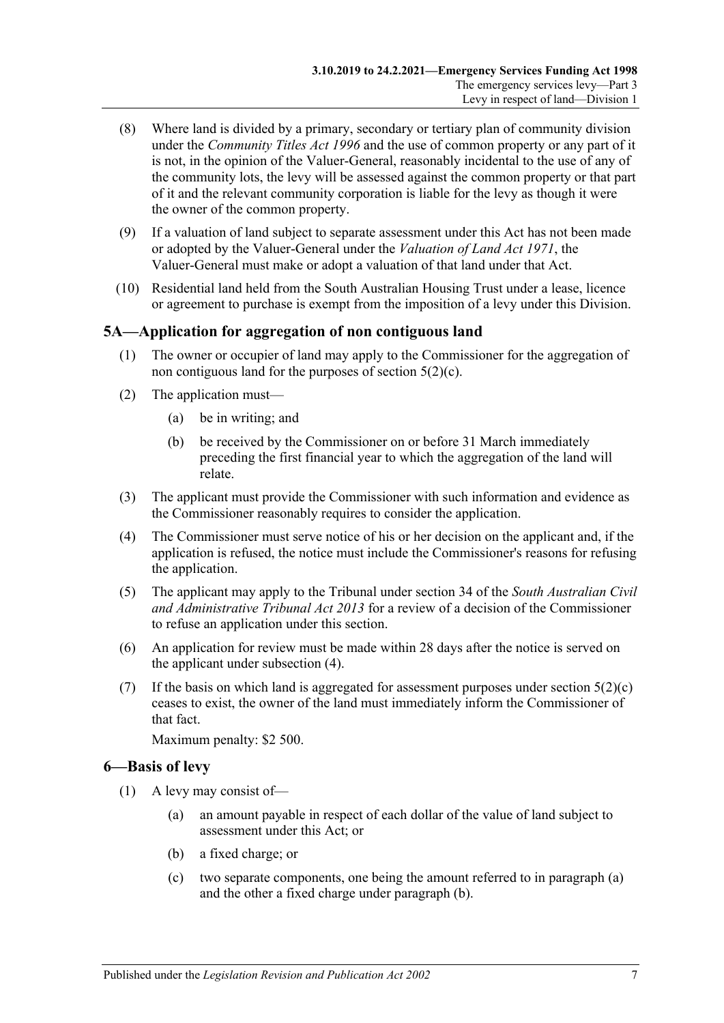- (8) Where land is divided by a primary, secondary or tertiary plan of community division under the *[Community Titles Act](http://www.legislation.sa.gov.au/index.aspx?action=legref&type=act&legtitle=Community%20Titles%20Act%201996) 1996* and the use of common property or any part of it is not, in the opinion of the Valuer-General, reasonably incidental to the use of any of the community lots, the levy will be assessed against the common property or that part of it and the relevant community corporation is liable for the levy as though it were the owner of the common property.
- (9) If a valuation of land subject to separate assessment under this Act has not been made or adopted by the Valuer-General under the *[Valuation of Land Act](http://www.legislation.sa.gov.au/index.aspx?action=legref&type=act&legtitle=Valuation%20of%20Land%20Act%201971) 1971*, the Valuer-General must make or adopt a valuation of that land under that Act.
- (10) Residential land held from the South Australian Housing Trust under a lease, licence or agreement to purchase is exempt from the imposition of a levy under this Division.

## <span id="page-6-0"></span>**5A—Application for aggregation of non contiguous land**

- (1) The owner or occupier of land may apply to the Commissioner for the aggregation of non contiguous land for the purposes of [section](#page-4-8) 5(2)(c).
- (2) The application must—
	- (a) be in writing; and
	- (b) be received by the Commissioner on or before 31 March immediately preceding the first financial year to which the aggregation of the land will relate.
- (3) The applicant must provide the Commissioner with such information and evidence as the Commissioner reasonably requires to consider the application.
- <span id="page-6-2"></span>(4) The Commissioner must serve notice of his or her decision on the applicant and, if the application is refused, the notice must include the Commissioner's reasons for refusing the application.
- (5) The applicant may apply to the Tribunal under section 34 of the *[South Australian Civil](http://www.legislation.sa.gov.au/index.aspx?action=legref&type=act&legtitle=South%20Australian%20Civil%20and%20Administrative%20Tribunal%20Act%202013)  [and Administrative Tribunal Act](http://www.legislation.sa.gov.au/index.aspx?action=legref&type=act&legtitle=South%20Australian%20Civil%20and%20Administrative%20Tribunal%20Act%202013) 2013* for a review of a decision of the Commissioner to refuse an application under this section.
- (6) An application for review must be made within 28 days after the notice is served on the applicant under [subsection](#page-6-2) (4).
- (7) If the basis on which land is aggregated for assessment purposes under [section](#page-4-8)  $5(2)(c)$ ceases to exist, the owner of the land must immediately inform the Commissioner of that fact.

Maximum penalty: \$2 500.

## <span id="page-6-5"></span><span id="page-6-1"></span>**6—Basis of levy**

- <span id="page-6-4"></span><span id="page-6-3"></span>(1) A levy may consist of—
	- (a) an amount payable in respect of each dollar of the value of land subject to assessment under this Act; or
	- (b) a fixed charge; or
	- (c) two separate components, one being the amount referred to in [paragraph](#page-6-3) (a) and the other a fixed charge under [paragraph](#page-6-4) (b).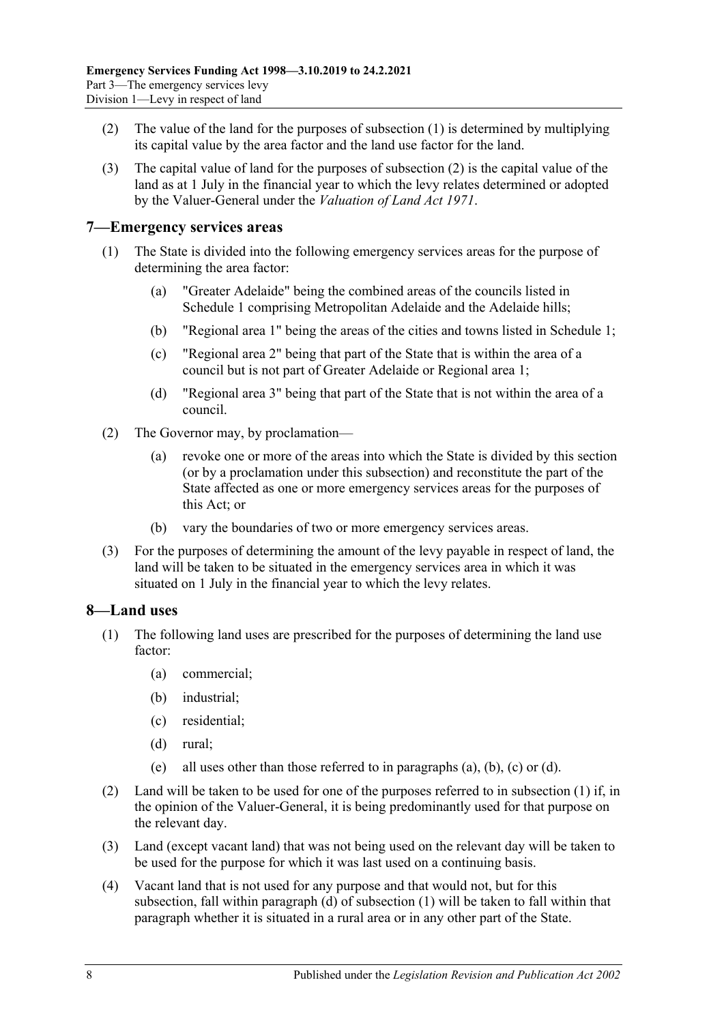- <span id="page-7-3"></span>(2) The value of the land for the purposes of [subsection](#page-6-5) (1) is determined by multiplying its capital value by the area factor and the land use factor for the land.
- (3) The capital value of land for the purposes of [subsection](#page-7-3) (2) is the capital value of the land as at 1 July in the financial year to which the levy relates determined or adopted by the Valuer-General under the *[Valuation of Land Act](http://www.legislation.sa.gov.au/index.aspx?action=legref&type=act&legtitle=Valuation%20of%20Land%20Act%201971) 1971*.

#### <span id="page-7-0"></span>**7—Emergency services areas**

- (1) The State is divided into the following emergency services areas for the purpose of determining the area factor:
	- (a) "Greater Adelaide" being the combined areas of the councils listed in [Schedule 1](#page-29-3) comprising Metropolitan Adelaide and the Adelaide hills;
	- (b) "Regional area 1" being the areas of the cities and towns listed in [Schedule 1;](#page-29-3)
	- (c) "Regional area 2" being that part of the State that is within the area of a council but is not part of Greater Adelaide or Regional area 1;
	- (d) "Regional area 3" being that part of the State that is not within the area of a council.
- (2) The Governor may, by proclamation—
	- (a) revoke one or more of the areas into which the State is divided by this section (or by a proclamation under this subsection) and reconstitute the part of the State affected as one or more emergency services areas for the purposes of this Act; or
	- (b) vary the boundaries of two or more emergency services areas.
- (3) For the purposes of determining the amount of the levy payable in respect of land, the land will be taken to be situated in the emergency services area in which it was situated on 1 July in the financial year to which the levy relates.

## <span id="page-7-2"></span><span id="page-7-1"></span>**8—Land uses**

- <span id="page-7-6"></span><span id="page-7-5"></span><span id="page-7-4"></span>(1) The following land uses are prescribed for the purposes of determining the land use factor:
	- (a) commercial;
	- (b) industrial;
	- (c) residential;
	- (d) rural;
	- (e) all uses other than those referred to in [paragraphs](#page-7-4) (a), [\(b\),](#page-7-5) [\(c\)](#page-7-6) or [\(d\).](#page-7-7)
- <span id="page-7-7"></span>(2) Land will be taken to be used for one of the purposes referred to in [subsection](#page-7-2) (1) if, in the opinion of the Valuer-General, it is being predominantly used for that purpose on the relevant day.
- (3) Land (except vacant land) that was not being used on the relevant day will be taken to be used for the purpose for which it was last used on a continuing basis.
- (4) Vacant land that is not used for any purpose and that would not, but for this subsection, fall within [paragraph](#page-7-7) (d) of [subsection](#page-7-2) (1) will be taken to fall within that paragraph whether it is situated in a rural area or in any other part of the State.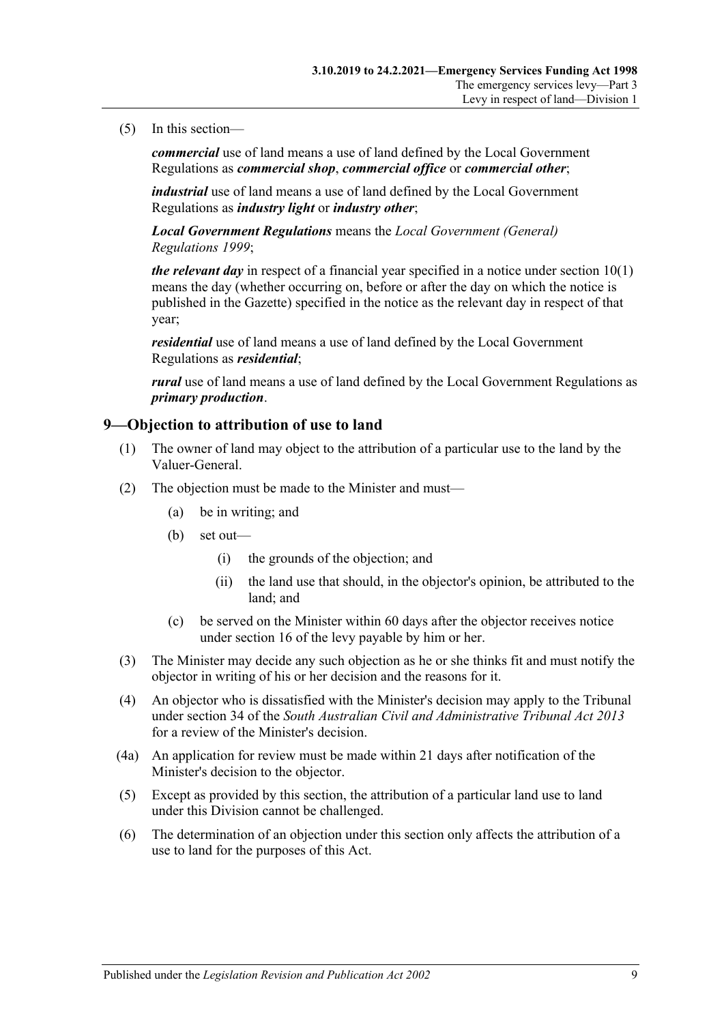#### (5) In this section—

*commercial* use of land means a use of land defined by the Local Government Regulations as *commercial shop*, *commercial office* or *commercial other*;

*industrial* use of land means a use of land defined by the Local Government Regulations as *industry light* or *industry other*;

*Local Government Regulations* means the *[Local Government \(General\)](http://www.legislation.sa.gov.au/index.aspx?action=legref&type=act&legtitle=Local%20Government%20(General)%20Regulations%201999)  [Regulations](http://www.legislation.sa.gov.au/index.aspx?action=legref&type=act&legtitle=Local%20Government%20(General)%20Regulations%201999) 1999*;

*the relevant day* in respect of a financial year specified in a notice under [section](#page-9-1) 10(1) means the day (whether occurring on, before or after the day on which the notice is published in the Gazette) specified in the notice as the relevant day in respect of that year;

*residential* use of land means a use of land defined by the Local Government Regulations as *residential*;

*rural* use of land means a use of land defined by the Local Government Regulations as *primary production*.

#### <span id="page-8-0"></span>**9—Objection to attribution of use to land**

- (1) The owner of land may object to the attribution of a particular use to the land by the Valuer-General.
- (2) The objection must be made to the Minister and must—
	- (a) be in writing; and
	- (b) set out—
		- (i) the grounds of the objection; and
		- (ii) the land use that should, in the objector's opinion, be attributed to the land; and
	- (c) be served on the Minister within 60 days after the objector receives notice under [section](#page-12-0) 16 of the levy payable by him or her.
- (3) The Minister may decide any such objection as he or she thinks fit and must notify the objector in writing of his or her decision and the reasons for it.
- (4) An objector who is dissatisfied with the Minister's decision may apply to the Tribunal under section 34 of the *[South Australian Civil and Administrative Tribunal Act](http://www.legislation.sa.gov.au/index.aspx?action=legref&type=act&legtitle=South%20Australian%20Civil%20and%20Administrative%20Tribunal%20Act%202013) 2013* for a review of the Minister's decision.
- (4a) An application for review must be made within 21 days after notification of the Minister's decision to the objector.
- (5) Except as provided by this section, the attribution of a particular land use to land under this Division cannot be challenged.
- (6) The determination of an objection under this section only affects the attribution of a use to land for the purposes of this Act.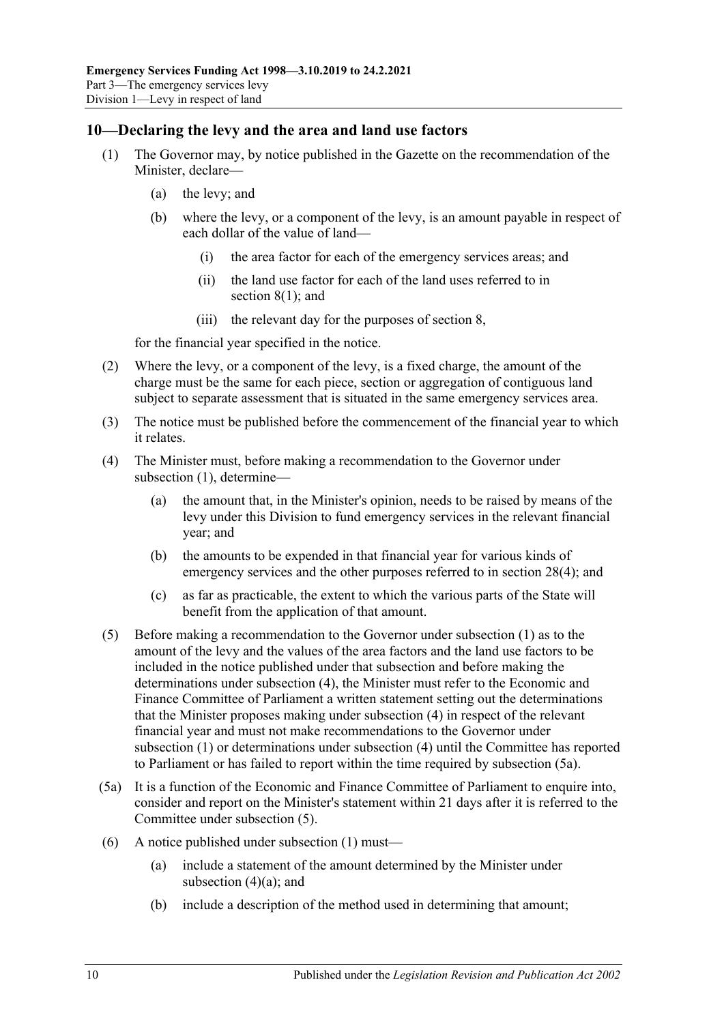## <span id="page-9-1"></span><span id="page-9-0"></span>**10—Declaring the levy and the area and land use factors**

- (1) The Governor may, by notice published in the Gazette on the recommendation of the Minister, declare—
	- (a) the levy; and
	- (b) where the levy, or a component of the levy, is an amount payable in respect of each dollar of the value of land—
		- (i) the area factor for each of the emergency services areas; and
		- (ii) the land use factor for each of the land uses referred to in [section](#page-7-2) 8(1); and
		- (iii) the relevant day for the purposes of [section](#page-7-1) 8,

for the financial year specified in the notice.

- (2) Where the levy, or a component of the levy, is a fixed charge, the amount of the charge must be the same for each piece, section or aggregation of contiguous land subject to separate assessment that is situated in the same emergency services area.
- (3) The notice must be published before the commencement of the financial year to which it relates.
- <span id="page-9-5"></span><span id="page-9-2"></span>(4) The Minister must, before making a recommendation to the Governor under [subsection](#page-9-1) (1), determine—
	- (a) the amount that, in the Minister's opinion, needs to be raised by means of the levy under this Division to fund emergency services in the relevant financial year; and
	- (b) the amounts to be expended in that financial year for various kinds of emergency services and the other purposes referred to in [section](#page-27-4) 28(4); and
	- (c) as far as practicable, the extent to which the various parts of the State will benefit from the application of that amount.
- <span id="page-9-4"></span>(5) Before making a recommendation to the Governor under [subsection](#page-9-1) (1) as to the amount of the levy and the values of the area factors and the land use factors to be included in the notice published under that subsection and before making the determinations under [subsection](#page-9-2) (4), the Minister must refer to the Economic and Finance Committee of Parliament a written statement setting out the determinations that the Minister proposes making under [subsection](#page-9-2) (4) in respect of the relevant financial year and must not make recommendations to the Governor under [subsection](#page-9-1) (1) or determinations under [subsection](#page-9-2) (4) until the Committee has reported to Parliament or has failed to report within the time required by [subsection](#page-9-3) (5a).
- <span id="page-9-3"></span>(5a) It is a function of the Economic and Finance Committee of Parliament to enquire into, consider and report on the Minister's statement within 21 days after it is referred to the Committee under [subsection](#page-9-4) (5).
- (6) A notice published under [subsection](#page-9-1) (1) must—
	- (a) include a statement of the amount determined by the Minister under [subsection](#page-9-5)  $(4)(a)$ ; and
	- (b) include a description of the method used in determining that amount;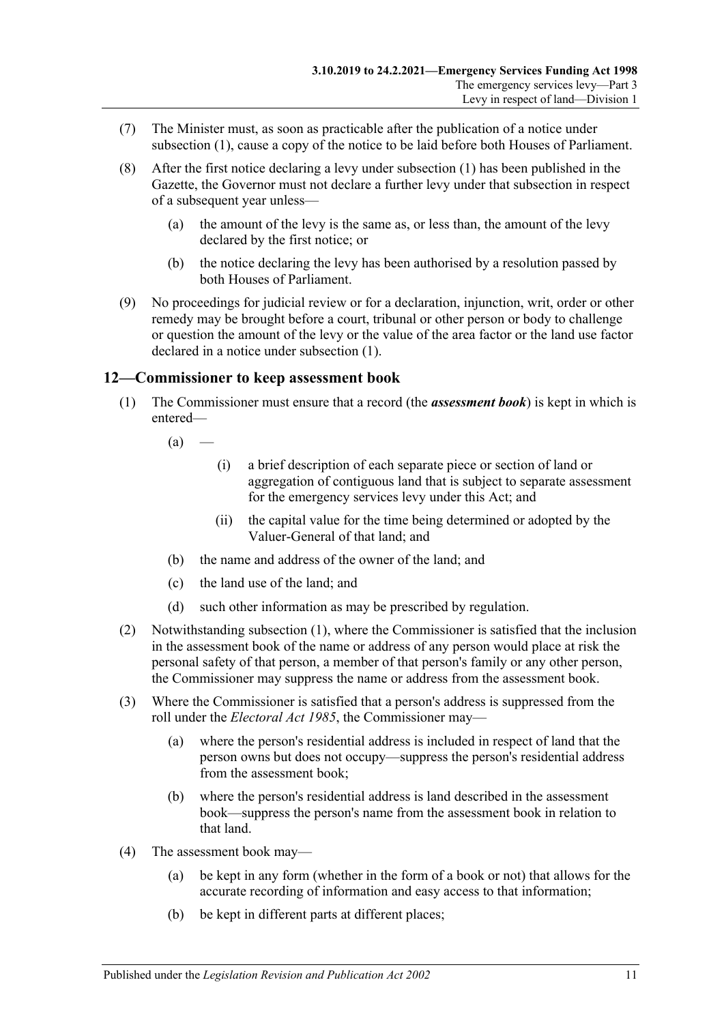- (7) The Minister must, as soon as practicable after the publication of a notice under [subsection](#page-9-1) (1), cause a copy of the notice to be laid before both Houses of Parliament.
- (8) After the first notice declaring a levy under [subsection](#page-9-1) (1) has been published in the Gazette, the Governor must not declare a further levy under that subsection in respect of a subsequent year unless—
	- (a) the amount of the levy is the same as, or less than, the amount of the levy declared by the first notice; or
	- (b) the notice declaring the levy has been authorised by a resolution passed by both Houses of Parliament.
- (9) No proceedings for judicial review or for a declaration, injunction, writ, order or other remedy may be brought before a court, tribunal or other person or body to challenge or question the amount of the levy or the value of the area factor or the land use factor declared in a notice under [subsection](#page-9-1) (1).

## <span id="page-10-1"></span><span id="page-10-0"></span>**12—Commissioner to keep assessment book**

(1) The Commissioner must ensure that a record (the *assessment book*) is kept in which is entered—

 $(a)$  —

- (i) a brief description of each separate piece or section of land or aggregation of contiguous land that is subject to separate assessment for the emergency services levy under this Act; and
- (ii) the capital value for the time being determined or adopted by the Valuer-General of that land; and
- (b) the name and address of the owner of the land; and
- (c) the land use of the land; and
- (d) such other information as may be prescribed by regulation.
- (2) Notwithstanding [subsection](#page-10-1) (1), where the Commissioner is satisfied that the inclusion in the assessment book of the name or address of any person would place at risk the personal safety of that person, a member of that person's family or any other person, the Commissioner may suppress the name or address from the assessment book.
- (3) Where the Commissioner is satisfied that a person's address is suppressed from the roll under the *[Electoral Act](http://www.legislation.sa.gov.au/index.aspx?action=legref&type=act&legtitle=Electoral%20Act%201985) 1985*, the Commissioner may—
	- (a) where the person's residential address is included in respect of land that the person owns but does not occupy—suppress the person's residential address from the assessment book;
	- (b) where the person's residential address is land described in the assessment book—suppress the person's name from the assessment book in relation to that land.
- (4) The assessment book may—
	- (a) be kept in any form (whether in the form of a book or not) that allows for the accurate recording of information and easy access to that information;
	- (b) be kept in different parts at different places;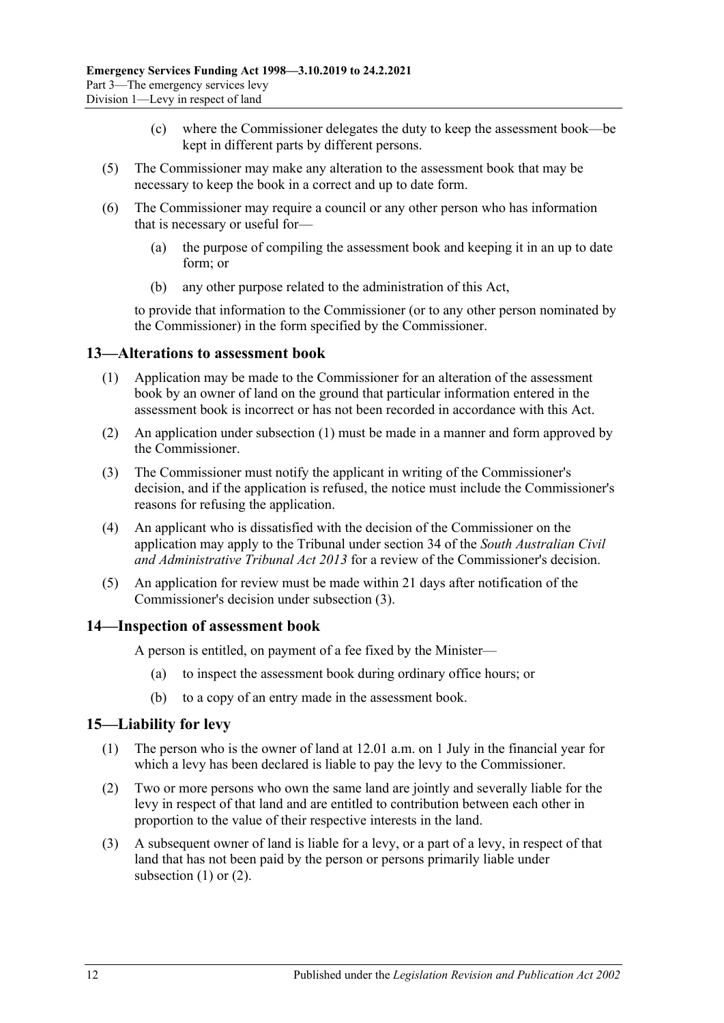- (c) where the Commissioner delegates the duty to keep the assessment book—be kept in different parts by different persons.
- (5) The Commissioner may make any alteration to the assessment book that may be necessary to keep the book in a correct and up to date form.
- (6) The Commissioner may require a council or any other person who has information that is necessary or useful for—
	- (a) the purpose of compiling the assessment book and keeping it in an up to date form; or
	- (b) any other purpose related to the administration of this Act,

to provide that information to the Commissioner (or to any other person nominated by the Commissioner) in the form specified by the Commissioner.

#### <span id="page-11-3"></span><span id="page-11-0"></span>**13—Alterations to assessment book**

- (1) Application may be made to the Commissioner for an alteration of the assessment book by an owner of land on the ground that particular information entered in the assessment book is incorrect or has not been recorded in accordance with this Act.
- (2) An application under [subsection](#page-11-3) (1) must be made in a manner and form approved by the Commissioner.
- <span id="page-11-4"></span>(3) The Commissioner must notify the applicant in writing of the Commissioner's decision, and if the application is refused, the notice must include the Commissioner's reasons for refusing the application.
- (4) An applicant who is dissatisfied with the decision of the Commissioner on the application may apply to the Tribunal under section 34 of the *[South Australian Civil](http://www.legislation.sa.gov.au/index.aspx?action=legref&type=act&legtitle=South%20Australian%20Civil%20and%20Administrative%20Tribunal%20Act%202013)  [and Administrative Tribunal Act](http://www.legislation.sa.gov.au/index.aspx?action=legref&type=act&legtitle=South%20Australian%20Civil%20and%20Administrative%20Tribunal%20Act%202013) 2013* for a review of the Commissioner's decision.
- (5) An application for review must be made within 21 days after notification of the Commissioner's decision under [subsection](#page-11-4) (3).

#### <span id="page-11-1"></span>**14—Inspection of assessment book**

A person is entitled, on payment of a fee fixed by the Minister—

- (a) to inspect the assessment book during ordinary office hours; or
- (b) to a copy of an entry made in the assessment book.

#### <span id="page-11-5"></span><span id="page-11-2"></span>**15—Liability for levy**

- (1) The person who is the owner of land at 12.01 a.m. on 1 July in the financial year for which a levy has been declared is liable to pay the levy to the Commissioner.
- <span id="page-11-6"></span>(2) Two or more persons who own the same land are jointly and severally liable for the levy in respect of that land and are entitled to contribution between each other in proportion to the value of their respective interests in the land.
- (3) A subsequent owner of land is liable for a levy, or a part of a levy, in respect of that land that has not been paid by the person or persons primarily liable under [subsection](#page-11-5) (1) or [\(2\).](#page-11-6)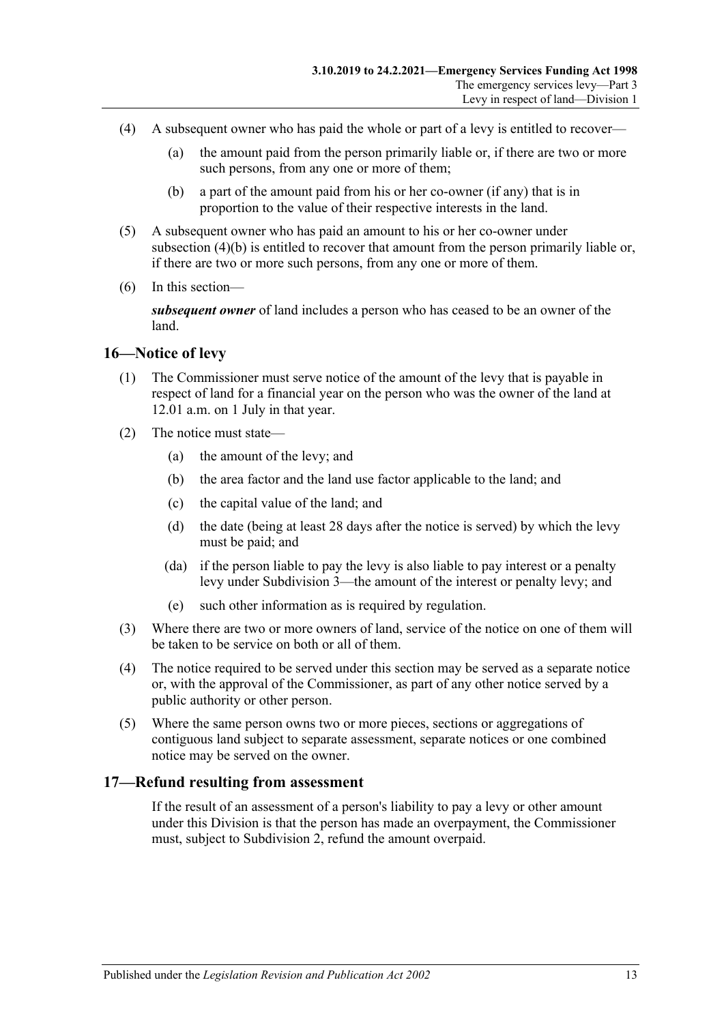- (4) A subsequent owner who has paid the whole or part of a levy is entitled to recover—
	- (a) the amount paid from the person primarily liable or, if there are two or more such persons, from any one or more of them;
	- (b) a part of the amount paid from his or her co-owner (if any) that is in proportion to the value of their respective interests in the land.
- <span id="page-12-2"></span>(5) A subsequent owner who has paid an amount to his or her co-owner under [subsection](#page-12-2) (4)(b) is entitled to recover that amount from the person primarily liable or, if there are two or more such persons, from any one or more of them.
- (6) In this section—

*subsequent owner* of land includes a person who has ceased to be an owner of the land.

#### <span id="page-12-0"></span>**16—Notice of levy**

- (1) The Commissioner must serve notice of the amount of the levy that is payable in respect of land for a financial year on the person who was the owner of the land at 12.01 a.m. on 1 July in that year.
- (2) The notice must state—
	- (a) the amount of the levy; and
	- (b) the area factor and the land use factor applicable to the land; and
	- (c) the capital value of the land; and
	- (d) the date (being at least 28 days after the notice is served) by which the levy must be paid; and
	- (da) if the person liable to pay the levy is also liable to pay interest or a penalty levy under [Subdivision 3—](#page-14-2)the amount of the interest or penalty levy; and
	- (e) such other information as is required by regulation.
- (3) Where there are two or more owners of land, service of the notice on one of them will be taken to be service on both or all of them.
- (4) The notice required to be served under this section may be served as a separate notice or, with the approval of the Commissioner, as part of any other notice served by a public authority or other person.
- (5) Where the same person owns two or more pieces, sections or aggregations of contiguous land subject to separate assessment, separate notices or one combined notice may be served on the owner.

## <span id="page-12-1"></span>**17—Refund resulting from assessment**

If the result of an assessment of a person's liability to pay a levy or other amount under this Division is that the person has made an overpayment, the Commissioner must, subject to [Subdivision 2,](#page-13-2) refund the amount overpaid.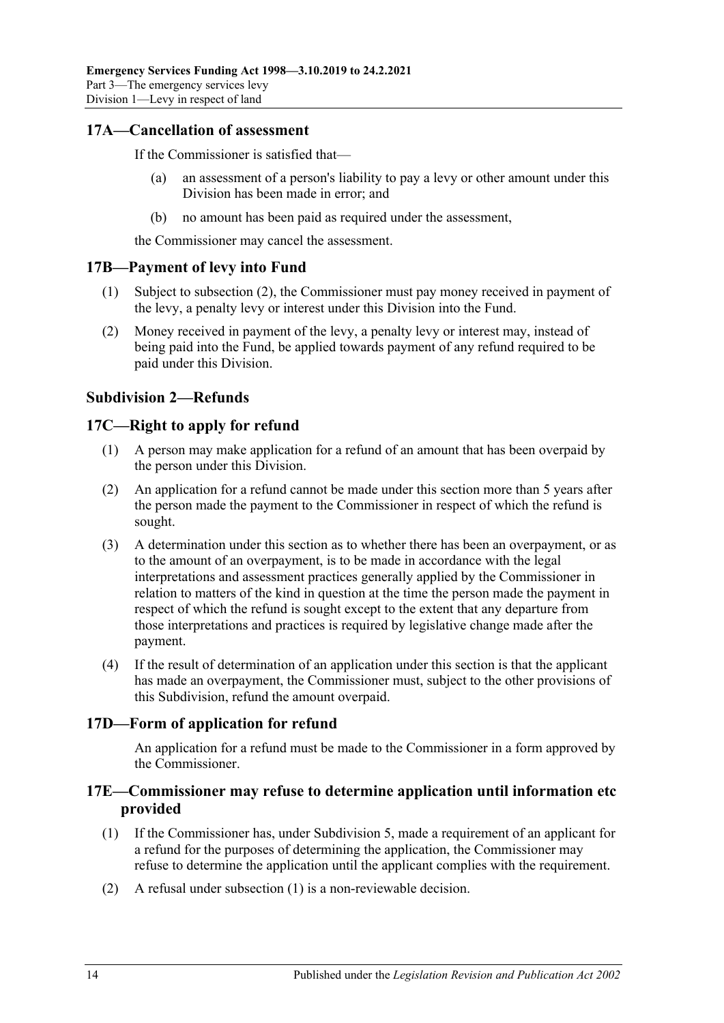## <span id="page-13-0"></span>**17A—Cancellation of assessment**

If the Commissioner is satisfied that—

- (a) an assessment of a person's liability to pay a levy or other amount under this Division has been made in error; and
- (b) no amount has been paid as required under the assessment,

the Commissioner may cancel the assessment.

## <span id="page-13-1"></span>**17B—Payment of levy into Fund**

- (1) Subject to [subsection](#page-13-6) (2), the Commissioner must pay money received in payment of the levy, a penalty levy or interest under this Division into the Fund.
- <span id="page-13-6"></span>(2) Money received in payment of the levy, a penalty levy or interest may, instead of being paid into the Fund, be applied towards payment of any refund required to be paid under this Division.

## <span id="page-13-2"></span>**Subdivision 2—Refunds**

## <span id="page-13-3"></span>**17C—Right to apply for refund**

- (1) A person may make application for a refund of an amount that has been overpaid by the person under this Division.
- (2) An application for a refund cannot be made under this section more than 5 years after the person made the payment to the Commissioner in respect of which the refund is sought.
- (3) A determination under this section as to whether there has been an overpayment, or as to the amount of an overpayment, is to be made in accordance with the legal interpretations and assessment practices generally applied by the Commissioner in relation to matters of the kind in question at the time the person made the payment in respect of which the refund is sought except to the extent that any departure from those interpretations and practices is required by legislative change made after the payment.
- (4) If the result of determination of an application under this section is that the applicant has made an overpayment, the Commissioner must, subject to the other provisions of this Subdivision, refund the amount overpaid.

## <span id="page-13-4"></span>**17D—Form of application for refund**

An application for a refund must be made to the Commissioner in a form approved by the Commissioner.

## <span id="page-13-5"></span>**17E—Commissioner may refuse to determine application until information etc provided**

- <span id="page-13-7"></span>(1) If the Commissioner has, under [Subdivision 5,](#page-20-3) made a requirement of an applicant for a refund for the purposes of determining the application, the Commissioner may refuse to determine the application until the applicant complies with the requirement.
- (2) A refusal under [subsection](#page-13-7) (1) is a non-reviewable decision.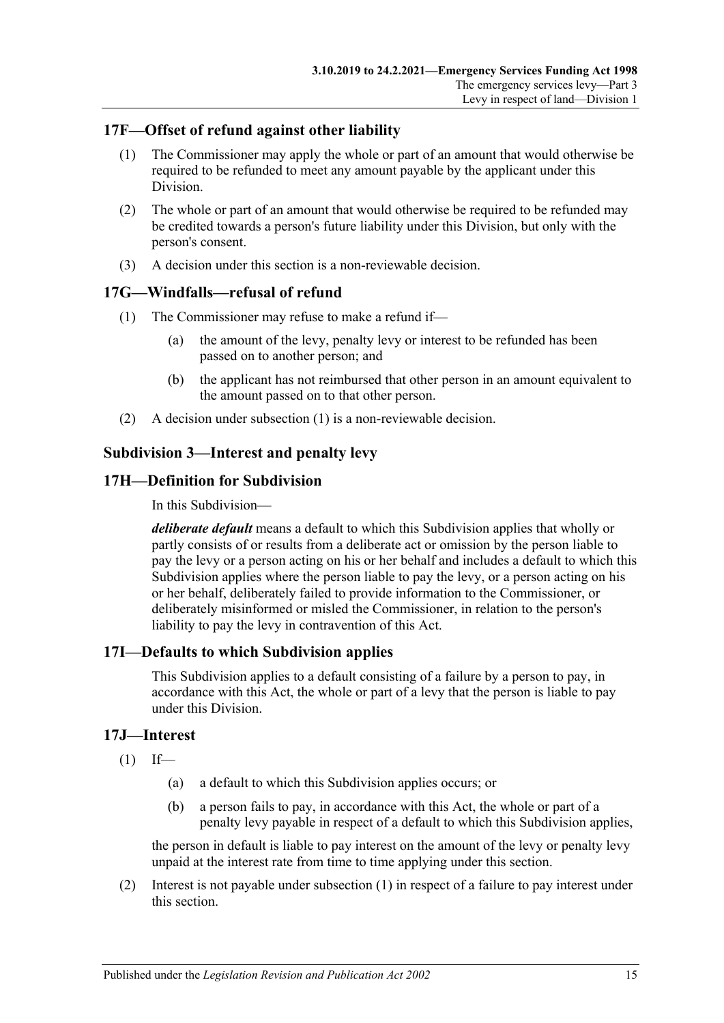## <span id="page-14-0"></span>**17F—Offset of refund against other liability**

- (1) The Commissioner may apply the whole or part of an amount that would otherwise be required to be refunded to meet any amount payable by the applicant under this Division.
- (2) The whole or part of an amount that would otherwise be required to be refunded may be credited towards a person's future liability under this Division, but only with the person's consent.
- (3) A decision under this section is a non-reviewable decision.

## <span id="page-14-6"></span><span id="page-14-1"></span>**17G—Windfalls—refusal of refund**

- (1) The Commissioner may refuse to make a refund if—
	- (a) the amount of the levy, penalty levy or interest to be refunded has been passed on to another person; and
	- (b) the applicant has not reimbursed that other person in an amount equivalent to the amount passed on to that other person.
- (2) A decision under [subsection](#page-14-6) (1) is a non-reviewable decision.

## <span id="page-14-2"></span>**Subdivision 3—Interest and penalty levy**

## <span id="page-14-3"></span>**17H—Definition for Subdivision**

In this Subdivision—

*deliberate default* means a default to which this Subdivision applies that wholly or partly consists of or results from a deliberate act or omission by the person liable to pay the levy or a person acting on his or her behalf and includes a default to which this Subdivision applies where the person liable to pay the levy, or a person acting on his or her behalf, deliberately failed to provide information to the Commissioner, or deliberately misinformed or misled the Commissioner, in relation to the person's liability to pay the levy in contravention of this Act.

## <span id="page-14-4"></span>**17I—Defaults to which Subdivision applies**

This Subdivision applies to a default consisting of a failure by a person to pay, in accordance with this Act, the whole or part of a levy that the person is liable to pay under this Division.

## <span id="page-14-7"></span><span id="page-14-5"></span>**17J—Interest**

- $(1)$  If—
	- (a) a default to which this Subdivision applies occurs; or
	- (b) a person fails to pay, in accordance with this Act, the whole or part of a penalty levy payable in respect of a default to which this Subdivision applies,

the person in default is liable to pay interest on the amount of the levy or penalty levy unpaid at the interest rate from time to time applying under this section.

(2) Interest is not payable under [subsection](#page-14-7) (1) in respect of a failure to pay interest under this section.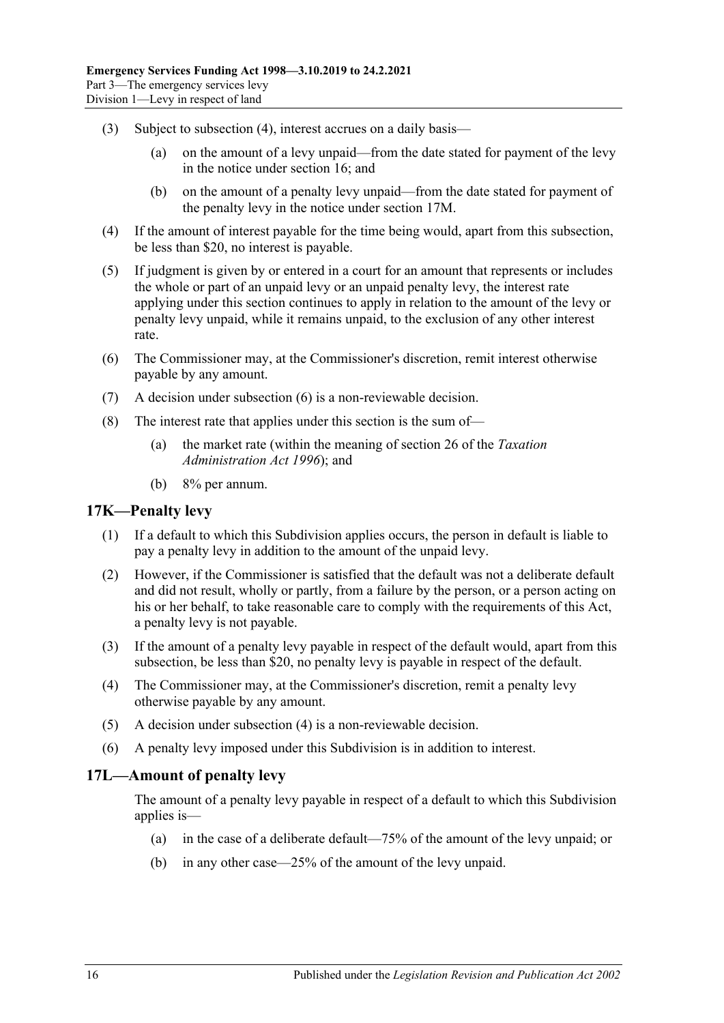- (3) Subject to [subsection](#page-15-2) (4), interest accrues on a daily basis—
	- (a) on the amount of a levy unpaid—from the date stated for payment of the levy in the notice under [section](#page-12-0) 16; and
	- (b) on the amount of a penalty levy unpaid—from the date stated for payment of the penalty levy in the notice under [section](#page-16-0) 17M.
- <span id="page-15-2"></span>(4) If the amount of interest payable for the time being would, apart from this subsection, be less than \$20, no interest is payable.
- (5) If judgment is given by or entered in a court for an amount that represents or includes the whole or part of an unpaid levy or an unpaid penalty levy, the interest rate applying under this section continues to apply in relation to the amount of the levy or penalty levy unpaid, while it remains unpaid, to the exclusion of any other interest rate.
- <span id="page-15-3"></span>(6) The Commissioner may, at the Commissioner's discretion, remit interest otherwise payable by any amount.
- (7) A decision under [subsection](#page-15-3) (6) is a non-reviewable decision.
- (8) The interest rate that applies under this section is the sum of—
	- (a) the market rate (within the meaning of section 26 of the *[Taxation](http://www.legislation.sa.gov.au/index.aspx?action=legref&type=act&legtitle=Taxation%20Administration%20Act%201996)  [Administration Act](http://www.legislation.sa.gov.au/index.aspx?action=legref&type=act&legtitle=Taxation%20Administration%20Act%201996) 1996*); and
	- (b) 8% per annum.

#### <span id="page-15-0"></span>**17K—Penalty levy**

- (1) If a default to which this Subdivision applies occurs, the person in default is liable to pay a penalty levy in addition to the amount of the unpaid levy.
- (2) However, if the Commissioner is satisfied that the default was not a deliberate default and did not result, wholly or partly, from a failure by the person, or a person acting on his or her behalf, to take reasonable care to comply with the requirements of this Act, a penalty levy is not payable.
- (3) If the amount of a penalty levy payable in respect of the default would, apart from this subsection, be less than \$20, no penalty levy is payable in respect of the default.
- <span id="page-15-4"></span>(4) The Commissioner may, at the Commissioner's discretion, remit a penalty levy otherwise payable by any amount.
- (5) A decision under [subsection](#page-15-4) (4) is a non-reviewable decision.
- (6) A penalty levy imposed under this Subdivision is in addition to interest.

#### <span id="page-15-1"></span>**17L—Amount of penalty levy**

The amount of a penalty levy payable in respect of a default to which this Subdivision applies is—

- (a) in the case of a deliberate default—75% of the amount of the levy unpaid; or
- (b) in any other case—25% of the amount of the levy unpaid.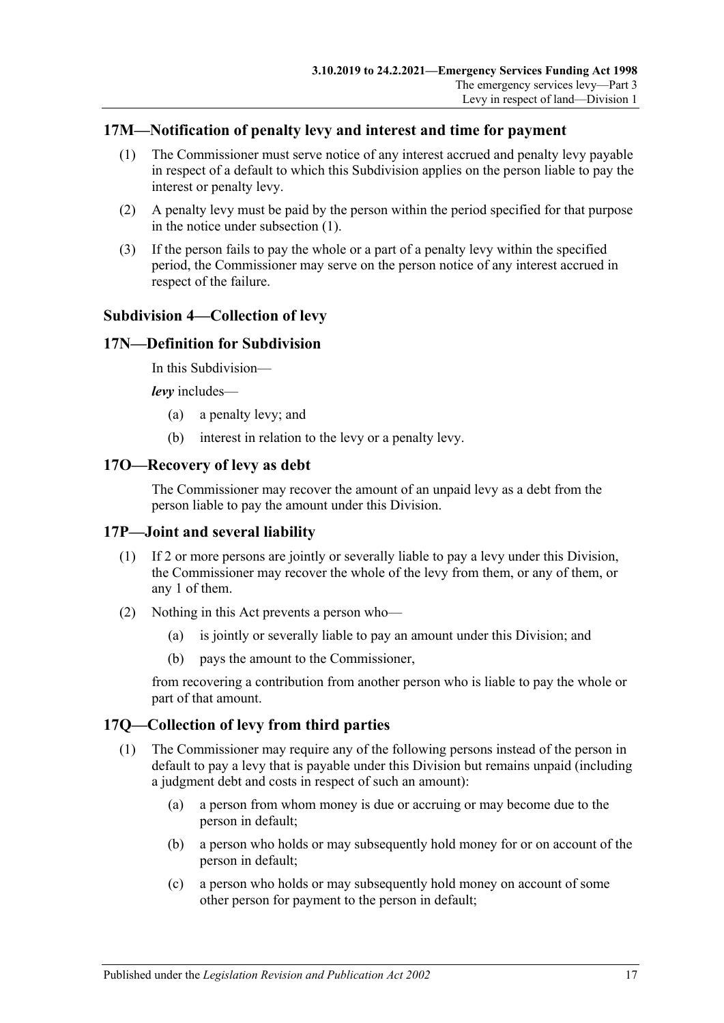## <span id="page-16-6"></span><span id="page-16-0"></span>**17M—Notification of penalty levy and interest and time for payment**

- (1) The Commissioner must serve notice of any interest accrued and penalty levy payable in respect of a default to which this Subdivision applies on the person liable to pay the interest or penalty levy.
- (2) A penalty levy must be paid by the person within the period specified for that purpose in the notice under [subsection](#page-16-6) (1).
- (3) If the person fails to pay the whole or a part of a penalty levy within the specified period, the Commissioner may serve on the person notice of any interest accrued in respect of the failure.

#### <span id="page-16-1"></span>**Subdivision 4—Collection of levy**

#### <span id="page-16-2"></span>**17N—Definition for Subdivision**

In this Subdivision—

*levy* includes—

- (a) a penalty levy; and
- (b) interest in relation to the levy or a penalty levy.

#### <span id="page-16-3"></span>**17O—Recovery of levy as debt**

The Commissioner may recover the amount of an unpaid levy as a debt from the person liable to pay the amount under this Division.

#### <span id="page-16-4"></span>**17P—Joint and several liability**

- (1) If 2 or more persons are jointly or severally liable to pay a levy under this Division, the Commissioner may recover the whole of the levy from them, or any of them, or any 1 of them.
- (2) Nothing in this Act prevents a person who—
	- (a) is jointly or severally liable to pay an amount under this Division; and
	- (b) pays the amount to the Commissioner,

from recovering a contribution from another person who is liable to pay the whole or part of that amount.

## <span id="page-16-7"></span><span id="page-16-5"></span>**17Q—Collection of levy from third parties**

- (1) The Commissioner may require any of the following persons instead of the person in default to pay a levy that is payable under this Division but remains unpaid (including a judgment debt and costs in respect of such an amount):
	- (a) a person from whom money is due or accruing or may become due to the person in default;
	- (b) a person who holds or may subsequently hold money for or on account of the person in default;
	- (c) a person who holds or may subsequently hold money on account of some other person for payment to the person in default;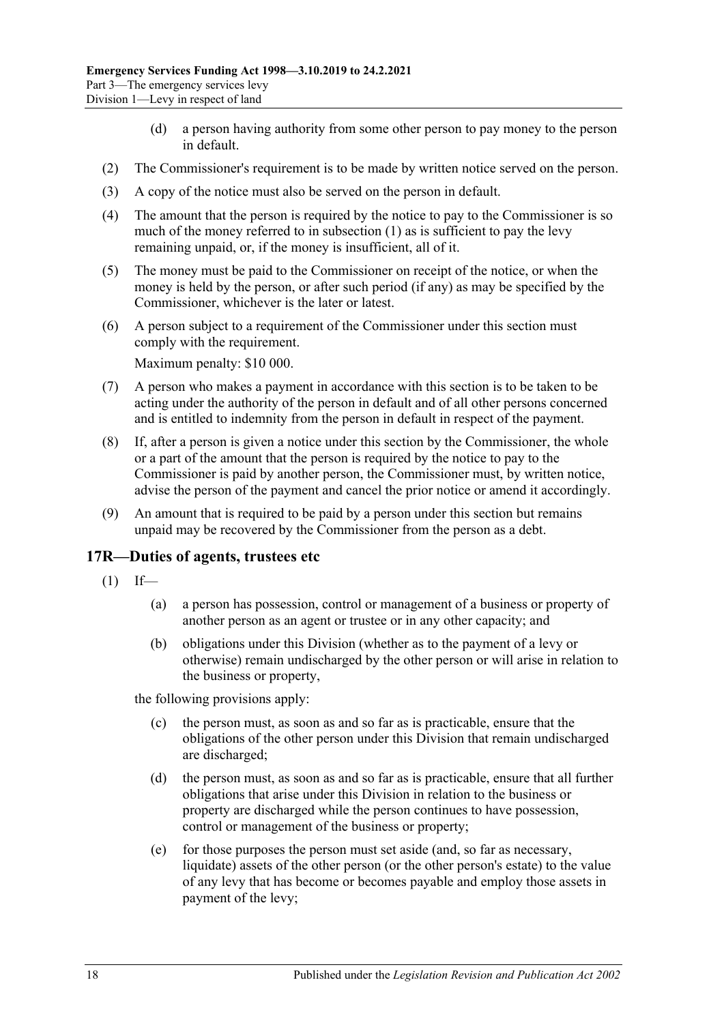- (d) a person having authority from some other person to pay money to the person in default.
- (2) The Commissioner's requirement is to be made by written notice served on the person.
- (3) A copy of the notice must also be served on the person in default.
- (4) The amount that the person is required by the notice to pay to the Commissioner is so much of the money referred to in [subsection](#page-16-7) (1) as is sufficient to pay the levy remaining unpaid, or, if the money is insufficient, all of it.
- (5) The money must be paid to the Commissioner on receipt of the notice, or when the money is held by the person, or after such period (if any) as may be specified by the Commissioner, whichever is the later or latest.
- (6) A person subject to a requirement of the Commissioner under this section must comply with the requirement.

Maximum penalty: \$10 000.

- (7) A person who makes a payment in accordance with this section is to be taken to be acting under the authority of the person in default and of all other persons concerned and is entitled to indemnity from the person in default in respect of the payment.
- (8) If, after a person is given a notice under this section by the Commissioner, the whole or a part of the amount that the person is required by the notice to pay to the Commissioner is paid by another person, the Commissioner must, by written notice, advise the person of the payment and cancel the prior notice or amend it accordingly.
- (9) An amount that is required to be paid by a person under this section but remains unpaid may be recovered by the Commissioner from the person as a debt.

#### <span id="page-17-1"></span><span id="page-17-0"></span>**17R—Duties of agents, trustees etc**

- $(1)$  If—
	- (a) a person has possession, control or management of a business or property of another person as an agent or trustee or in any other capacity; and
	- (b) obligations under this Division (whether as to the payment of a levy or otherwise) remain undischarged by the other person or will arise in relation to the business or property,

the following provisions apply:

- (c) the person must, as soon as and so far as is practicable, ensure that the obligations of the other person under this Division that remain undischarged are discharged;
- (d) the person must, as soon as and so far as is practicable, ensure that all further obligations that arise under this Division in relation to the business or property are discharged while the person continues to have possession, control or management of the business or property;
- (e) for those purposes the person must set aside (and, so far as necessary, liquidate) assets of the other person (or the other person's estate) to the value of any levy that has become or becomes payable and employ those assets in payment of the levy;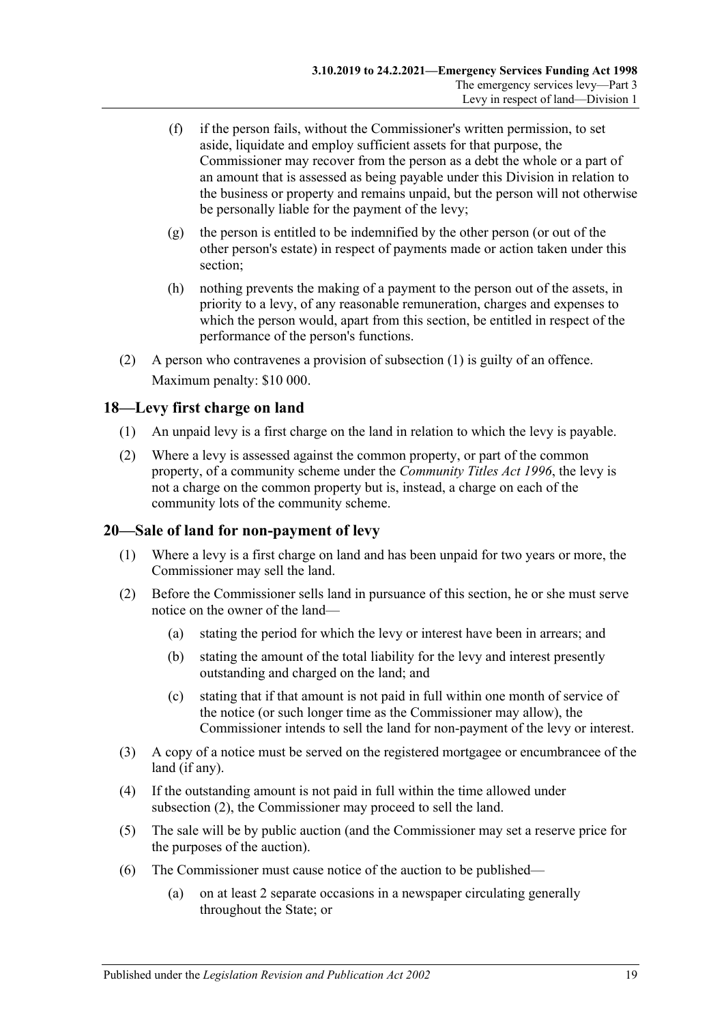- (f) if the person fails, without the Commissioner's written permission, to set aside, liquidate and employ sufficient assets for that purpose, the Commissioner may recover from the person as a debt the whole or a part of an amount that is assessed as being payable under this Division in relation to the business or property and remains unpaid, but the person will not otherwise be personally liable for the payment of the levy;
- (g) the person is entitled to be indemnified by the other person (or out of the other person's estate) in respect of payments made or action taken under this section;
- (h) nothing prevents the making of a payment to the person out of the assets, in priority to a levy, of any reasonable remuneration, charges and expenses to which the person would, apart from this section, be entitled in respect of the performance of the person's functions.
- (2) A person who contravenes a provision of [subsection](#page-17-1) (1) is guilty of an offence. Maximum penalty: \$10 000.

## <span id="page-18-0"></span>**18—Levy first charge on land**

- (1) An unpaid levy is a first charge on the land in relation to which the levy is payable.
- (2) Where a levy is assessed against the common property, or part of the common property, of a community scheme under the *[Community Titles Act](http://www.legislation.sa.gov.au/index.aspx?action=legref&type=act&legtitle=Community%20Titles%20Act%201996) 1996*, the levy is not a charge on the common property but is, instead, a charge on each of the community lots of the community scheme.

## <span id="page-18-1"></span>**20—Sale of land for non-payment of levy**

- (1) Where a levy is a first charge on land and has been unpaid for two years or more, the Commissioner may sell the land.
- <span id="page-18-2"></span>(2) Before the Commissioner sells land in pursuance of this section, he or she must serve notice on the owner of the land—
	- (a) stating the period for which the levy or interest have been in arrears; and
	- (b) stating the amount of the total liability for the levy and interest presently outstanding and charged on the land; and
	- (c) stating that if that amount is not paid in full within one month of service of the notice (or such longer time as the Commissioner may allow), the Commissioner intends to sell the land for non-payment of the levy or interest.
- (3) A copy of a notice must be served on the registered mortgagee or encumbrancee of the land (if any).
- (4) If the outstanding amount is not paid in full within the time allowed under [subsection](#page-18-2) (2), the Commissioner may proceed to sell the land.
- (5) The sale will be by public auction (and the Commissioner may set a reserve price for the purposes of the auction).
- (6) The Commissioner must cause notice of the auction to be published—
	- (a) on at least 2 separate occasions in a newspaper circulating generally throughout the State; or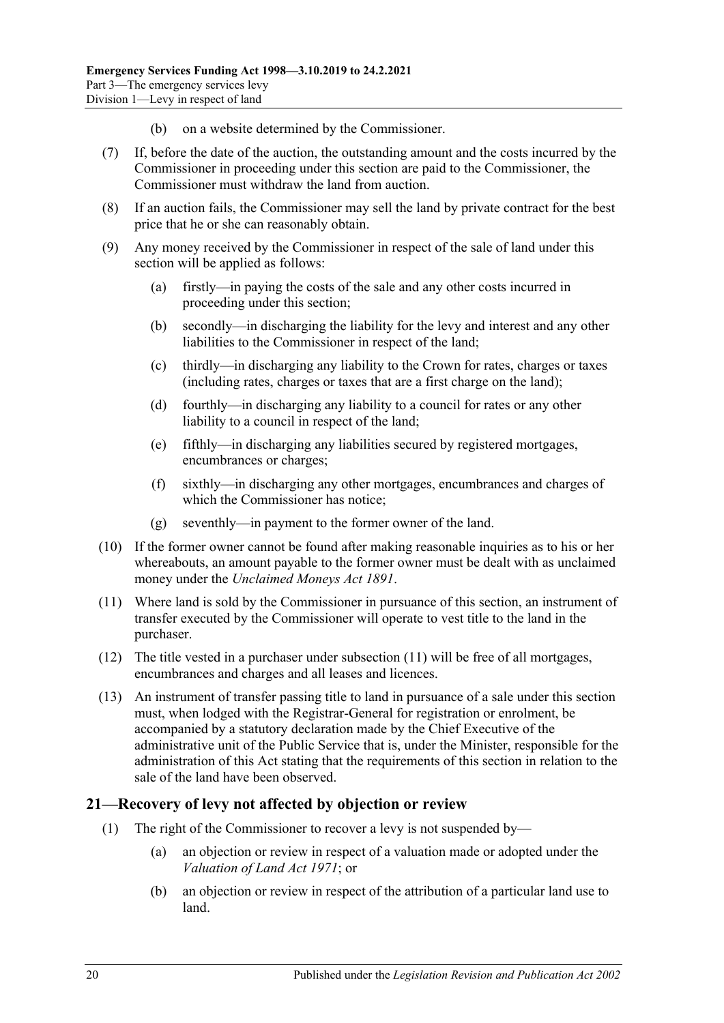- (b) on a website determined by the Commissioner.
- (7) If, before the date of the auction, the outstanding amount and the costs incurred by the Commissioner in proceeding under this section are paid to the Commissioner, the Commissioner must withdraw the land from auction.
- (8) If an auction fails, the Commissioner may sell the land by private contract for the best price that he or she can reasonably obtain.
- (9) Any money received by the Commissioner in respect of the sale of land under this section will be applied as follows:
	- (a) firstly—in paying the costs of the sale and any other costs incurred in proceeding under this section;
	- (b) secondly—in discharging the liability for the levy and interest and any other liabilities to the Commissioner in respect of the land;
	- (c) thirdly—in discharging any liability to the Crown for rates, charges or taxes (including rates, charges or taxes that are a first charge on the land);
	- (d) fourthly—in discharging any liability to a council for rates or any other liability to a council in respect of the land;
	- (e) fifthly—in discharging any liabilities secured by registered mortgages, encumbrances or charges;
	- (f) sixthly—in discharging any other mortgages, encumbrances and charges of which the Commissioner has notice;
	- (g) seventhly—in payment to the former owner of the land.
- (10) If the former owner cannot be found after making reasonable inquiries as to his or her whereabouts, an amount payable to the former owner must be dealt with as unclaimed money under the *[Unclaimed Moneys Act](http://www.legislation.sa.gov.au/index.aspx?action=legref&type=act&legtitle=Unclaimed%20Moneys%20Act%201891) 1891*.
- <span id="page-19-1"></span>(11) Where land is sold by the Commissioner in pursuance of this section, an instrument of transfer executed by the Commissioner will operate to vest title to the land in the purchaser.
- (12) The title vested in a purchaser under [subsection](#page-19-1) (11) will be free of all mortgages, encumbrances and charges and all leases and licences.
- (13) An instrument of transfer passing title to land in pursuance of a sale under this section must, when lodged with the Registrar-General for registration or enrolment, be accompanied by a statutory declaration made by the Chief Executive of the administrative unit of the Public Service that is, under the Minister, responsible for the administration of this Act stating that the requirements of this section in relation to the sale of the land have been observed.

## <span id="page-19-0"></span>**21—Recovery of levy not affected by objection or review**

- (1) The right of the Commissioner to recover a levy is not suspended by—
	- (a) an objection or review in respect of a valuation made or adopted under the *[Valuation of Land Act](http://www.legislation.sa.gov.au/index.aspx?action=legref&type=act&legtitle=Valuation%20of%20Land%20Act%201971) 1971*; or
	- (b) an objection or review in respect of the attribution of a particular land use to land.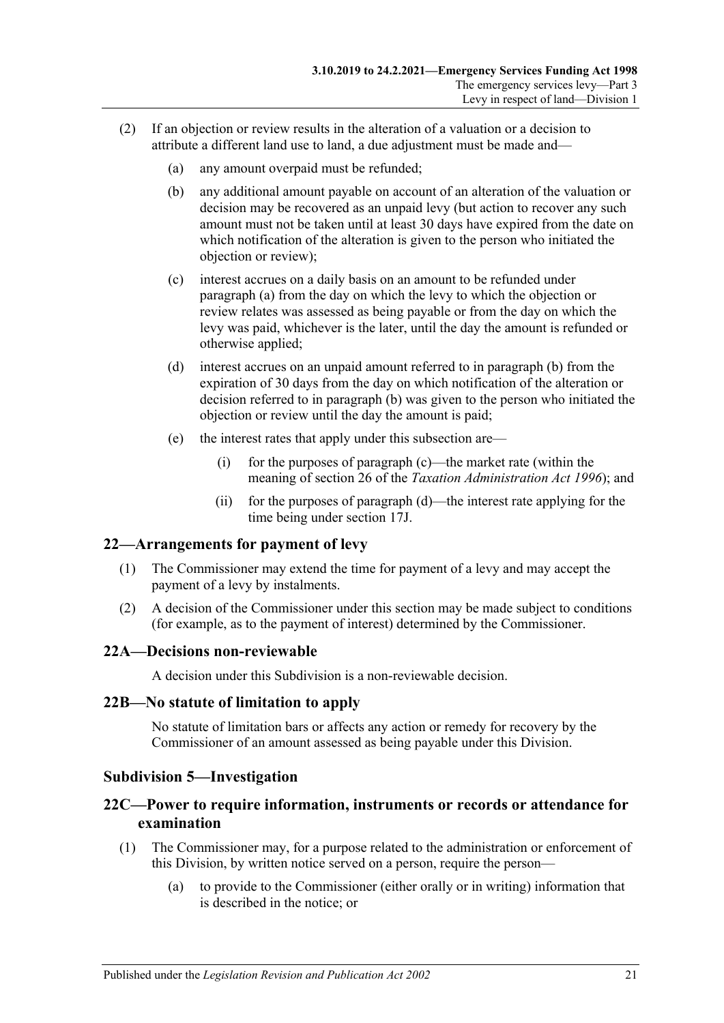- <span id="page-20-7"></span><span id="page-20-6"></span><span id="page-20-5"></span>(2) If an objection or review results in the alteration of a valuation or a decision to attribute a different land use to land, a due adjustment must be made and—
	- (a) any amount overpaid must be refunded;
	- (b) any additional amount payable on account of an alteration of the valuation or decision may be recovered as an unpaid levy (but action to recover any such amount must not be taken until at least 30 days have expired from the date on which notification of the alteration is given to the person who initiated the objection or review);
	- (c) interest accrues on a daily basis on an amount to be refunded under [paragraph](#page-20-5) (a) from the day on which the levy to which the objection or review relates was assessed as being payable or from the day on which the levy was paid, whichever is the later, until the day the amount is refunded or otherwise applied;
	- (d) interest accrues on an unpaid amount referred to in [paragraph](#page-20-6) (b) from the expiration of 30 days from the day on which notification of the alteration or decision referred to in [paragraph](#page-20-6) (b) was given to the person who initiated the objection or review until the day the amount is paid;
	- (e) the interest rates that apply under this subsection are—
		- (i) for the purposes of [paragraph](#page-20-7) (c)—the market rate (within the meaning of section 26 of the *[Taxation Administration Act](http://www.legislation.sa.gov.au/index.aspx?action=legref&type=act&legtitle=Taxation%20Administration%20Act%201996) 1996*); and
		- (ii) for the purposes of [paragraph](#page-20-8) (d)—the interest rate applying for the time being under [section](#page-14-5) 17J.

#### <span id="page-20-8"></span><span id="page-20-0"></span>**22—Arrangements for payment of levy**

- (1) The Commissioner may extend the time for payment of a levy and may accept the payment of a levy by instalments.
- (2) A decision of the Commissioner under this section may be made subject to conditions (for example, as to the payment of interest) determined by the Commissioner.

#### <span id="page-20-1"></span>**22A—Decisions non-reviewable**

A decision under this Subdivision is a non-reviewable decision.

#### <span id="page-20-2"></span>**22B—No statute of limitation to apply**

No statute of limitation bars or affects any action or remedy for recovery by the Commissioner of an amount assessed as being payable under this Division.

#### <span id="page-20-3"></span>**Subdivision 5—Investigation**

## <span id="page-20-4"></span>**22C—Power to require information, instruments or records or attendance for examination**

- (1) The Commissioner may, for a purpose related to the administration or enforcement of this Division, by written notice served on a person, require the person—
	- (a) to provide to the Commissioner (either orally or in writing) information that is described in the notice; or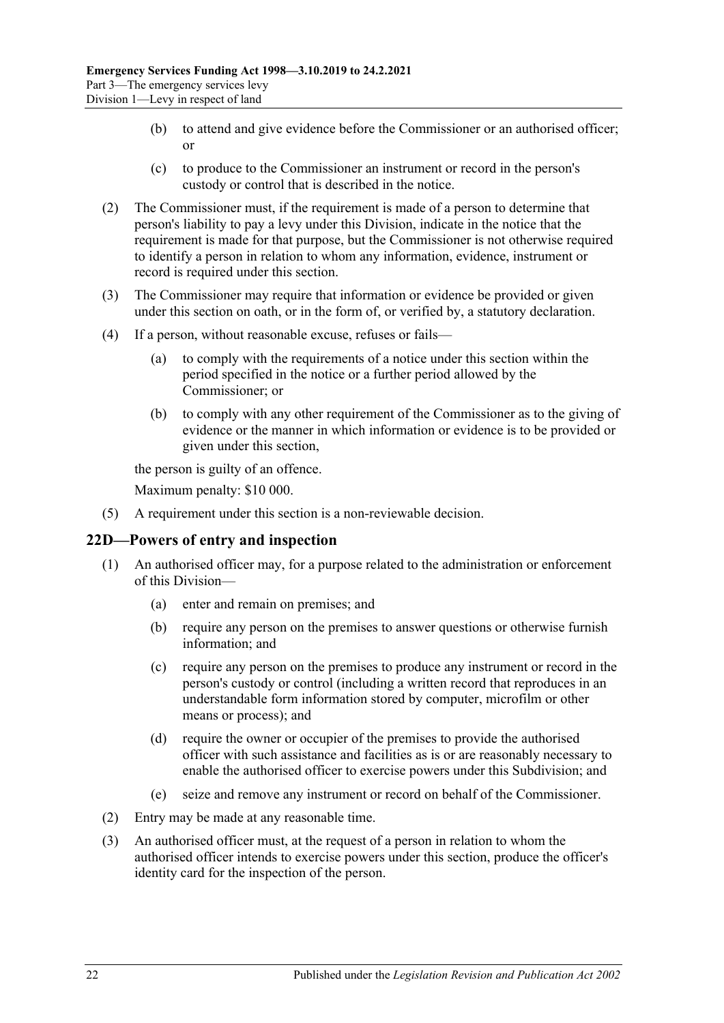- (b) to attend and give evidence before the Commissioner or an authorised officer; or
- (c) to produce to the Commissioner an instrument or record in the person's custody or control that is described in the notice.
- (2) The Commissioner must, if the requirement is made of a person to determine that person's liability to pay a levy under this Division, indicate in the notice that the requirement is made for that purpose, but the Commissioner is not otherwise required to identify a person in relation to whom any information, evidence, instrument or record is required under this section.
- (3) The Commissioner may require that information or evidence be provided or given under this section on oath, or in the form of, or verified by, a statutory declaration.
- (4) If a person, without reasonable excuse, refuses or fails—
	- (a) to comply with the requirements of a notice under this section within the period specified in the notice or a further period allowed by the Commissioner; or
	- (b) to comply with any other requirement of the Commissioner as to the giving of evidence or the manner in which information or evidence is to be provided or given under this section,

the person is guilty of an offence.

Maximum penalty: \$10 000.

(5) A requirement under this section is a non-reviewable decision.

## <span id="page-21-0"></span>**22D—Powers of entry and inspection**

- (1) An authorised officer may, for a purpose related to the administration or enforcement of this Division—
	- (a) enter and remain on premises; and
	- (b) require any person on the premises to answer questions or otherwise furnish information; and
	- (c) require any person on the premises to produce any instrument or record in the person's custody or control (including a written record that reproduces in an understandable form information stored by computer, microfilm or other means or process); and
	- (d) require the owner or occupier of the premises to provide the authorised officer with such assistance and facilities as is or are reasonably necessary to enable the authorised officer to exercise powers under this Subdivision; and
	- (e) seize and remove any instrument or record on behalf of the Commissioner.
- (2) Entry may be made at any reasonable time.
- (3) An authorised officer must, at the request of a person in relation to whom the authorised officer intends to exercise powers under this section, produce the officer's identity card for the inspection of the person.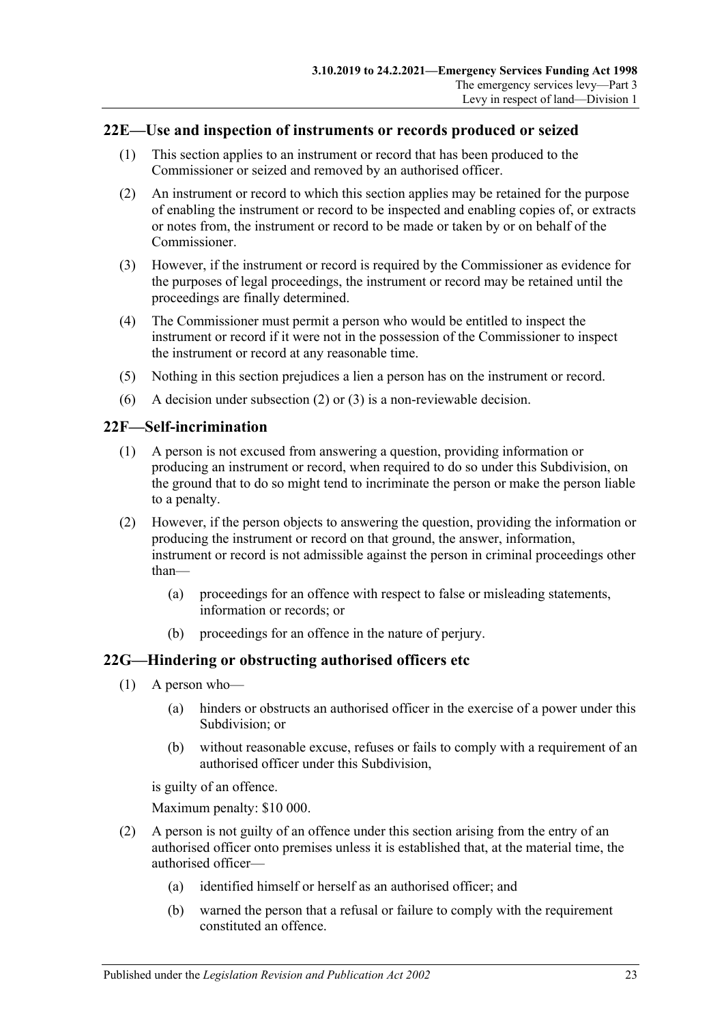## <span id="page-22-0"></span>**22E—Use and inspection of instruments or records produced or seized**

- (1) This section applies to an instrument or record that has been produced to the Commissioner or seized and removed by an authorised officer.
- <span id="page-22-3"></span>(2) An instrument or record to which this section applies may be retained for the purpose of enabling the instrument or record to be inspected and enabling copies of, or extracts or notes from, the instrument or record to be made or taken by or on behalf of the Commissioner.
- <span id="page-22-4"></span>(3) However, if the instrument or record is required by the Commissioner as evidence for the purposes of legal proceedings, the instrument or record may be retained until the proceedings are finally determined.
- (4) The Commissioner must permit a person who would be entitled to inspect the instrument or record if it were not in the possession of the Commissioner to inspect the instrument or record at any reasonable time.
- (5) Nothing in this section prejudices a lien a person has on the instrument or record.
- (6) A decision under [subsection](#page-22-3) (2) or [\(3\)](#page-22-4) is a non-reviewable decision.

#### <span id="page-22-1"></span>**22F—Self-incrimination**

- (1) A person is not excused from answering a question, providing information or producing an instrument or record, when required to do so under this Subdivision, on the ground that to do so might tend to incriminate the person or make the person liable to a penalty.
- (2) However, if the person objects to answering the question, providing the information or producing the instrument or record on that ground, the answer, information, instrument or record is not admissible against the person in criminal proceedings other than—
	- (a) proceedings for an offence with respect to false or misleading statements, information or records; or
	- (b) proceedings for an offence in the nature of perjury.

## <span id="page-22-2"></span>**22G—Hindering or obstructing authorised officers etc**

- (1) A person who—
	- (a) hinders or obstructs an authorised officer in the exercise of a power under this Subdivision; or
	- (b) without reasonable excuse, refuses or fails to comply with a requirement of an authorised officer under this Subdivision,

is guilty of an offence.

Maximum penalty: \$10 000.

- (2) A person is not guilty of an offence under this section arising from the entry of an authorised officer onto premises unless it is established that, at the material time, the authorised officer—
	- (a) identified himself or herself as an authorised officer; and
	- (b) warned the person that a refusal or failure to comply with the requirement constituted an offence.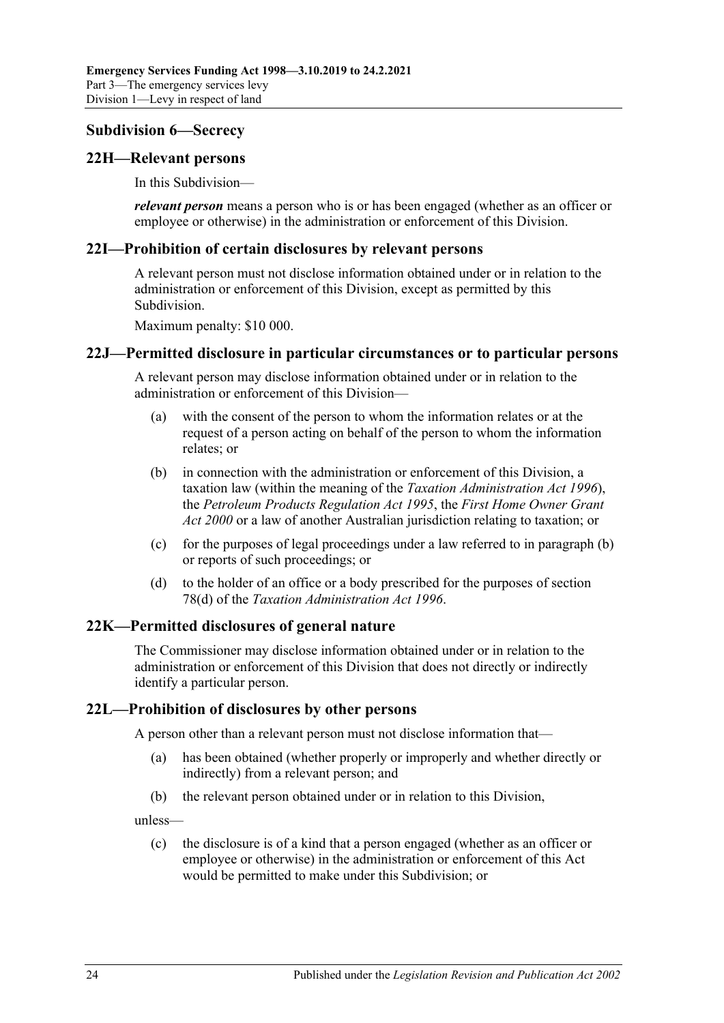#### <span id="page-23-0"></span>**Subdivision 6—Secrecy**

#### <span id="page-23-1"></span>**22H—Relevant persons**

In this Subdivision—

*relevant person* means a person who is or has been engaged (whether as an officer or employee or otherwise) in the administration or enforcement of this Division.

#### <span id="page-23-2"></span>**22I—Prohibition of certain disclosures by relevant persons**

A relevant person must not disclose information obtained under or in relation to the administration or enforcement of this Division, except as permitted by this Subdivision.

Maximum penalty: \$10 000.

#### <span id="page-23-3"></span>**22J—Permitted disclosure in particular circumstances or to particular persons**

A relevant person may disclose information obtained under or in relation to the administration or enforcement of this Division—

- (a) with the consent of the person to whom the information relates or at the request of a person acting on behalf of the person to whom the information relates; or
- <span id="page-23-6"></span>(b) in connection with the administration or enforcement of this Division, a taxation law (within the meaning of the *[Taxation Administration Act](http://www.legislation.sa.gov.au/index.aspx?action=legref&type=act&legtitle=Taxation%20Administration%20Act%201996) 1996*), the *[Petroleum Products Regulation Act](http://www.legislation.sa.gov.au/index.aspx?action=legref&type=act&legtitle=Petroleum%20Products%20Regulation%20Act%201995) 1995*, the *[First Home Owner Grant](http://www.legislation.sa.gov.au/index.aspx?action=legref&type=act&legtitle=First%20Home%20Owner%20Grant%20Act%202000)  Act [2000](http://www.legislation.sa.gov.au/index.aspx?action=legref&type=act&legtitle=First%20Home%20Owner%20Grant%20Act%202000)* or a law of another Australian jurisdiction relating to taxation; or
- (c) for the purposes of legal proceedings under a law referred to in [paragraph](#page-23-6) (b) or reports of such proceedings; or
- (d) to the holder of an office or a body prescribed for the purposes of section 78(d) of the *[Taxation Administration Act](http://www.legislation.sa.gov.au/index.aspx?action=legref&type=act&legtitle=Taxation%20Administration%20Act%201996) 1996*.

#### <span id="page-23-4"></span>**22K—Permitted disclosures of general nature**

The Commissioner may disclose information obtained under or in relation to the administration or enforcement of this Division that does not directly or indirectly identify a particular person.

#### <span id="page-23-5"></span>**22L—Prohibition of disclosures by other persons**

A person other than a relevant person must not disclose information that—

- (a) has been obtained (whether properly or improperly and whether directly or indirectly) from a relevant person; and
- (b) the relevant person obtained under or in relation to this Division,

unless—

(c) the disclosure is of a kind that a person engaged (whether as an officer or employee or otherwise) in the administration or enforcement of this Act would be permitted to make under this Subdivision; or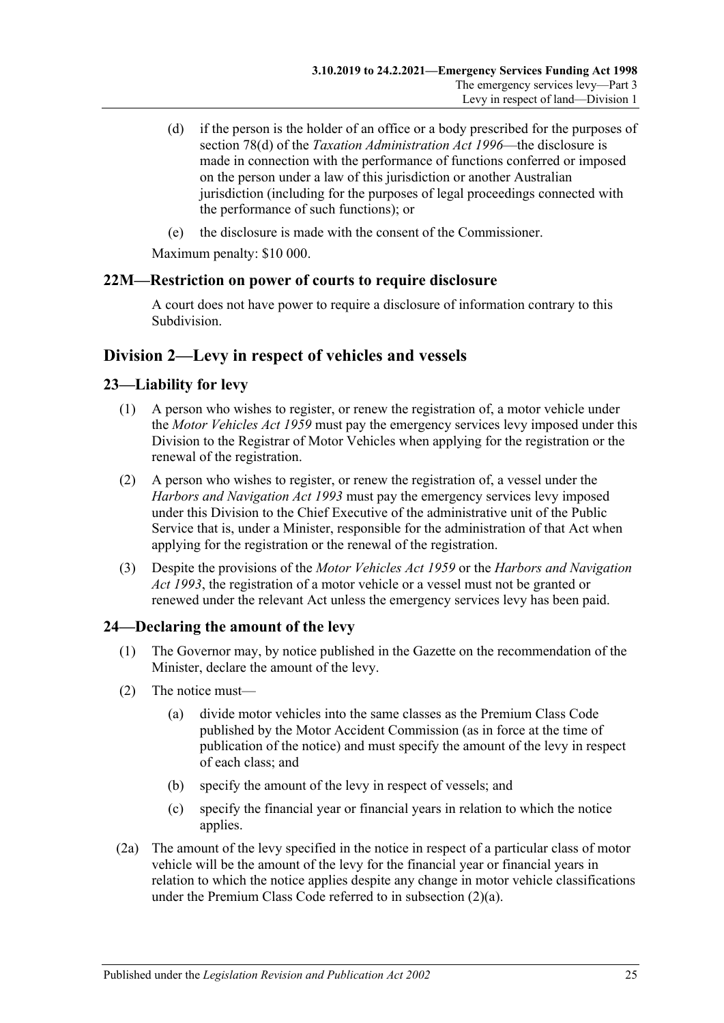- (d) if the person is the holder of an office or a body prescribed for the purposes of section 78(d) of the *[Taxation Administration Act](http://www.legislation.sa.gov.au/index.aspx?action=legref&type=act&legtitle=Taxation%20Administration%20Act%201996) 1996*—the disclosure is made in connection with the performance of functions conferred or imposed on the person under a law of this jurisdiction or another Australian jurisdiction (including for the purposes of legal proceedings connected with the performance of such functions); or
- (e) the disclosure is made with the consent of the Commissioner.

Maximum penalty: \$10 000.

## <span id="page-24-0"></span>**22M—Restriction on power of courts to require disclosure**

A court does not have power to require a disclosure of information contrary to this Subdivision.

## <span id="page-24-1"></span>**Division 2—Levy in respect of vehicles and vessels**

## <span id="page-24-2"></span>**23—Liability for levy**

- (1) A person who wishes to register, or renew the registration of, a motor vehicle under the *[Motor Vehicles Act](http://www.legislation.sa.gov.au/index.aspx?action=legref&type=act&legtitle=Motor%20Vehicles%20Act%201959) 1959* must pay the emergency services levy imposed under this Division to the Registrar of Motor Vehicles when applying for the registration or the renewal of the registration.
- (2) A person who wishes to register, or renew the registration of, a vessel under the *[Harbors and Navigation Act](http://www.legislation.sa.gov.au/index.aspx?action=legref&type=act&legtitle=Harbors%20and%20Navigation%20Act%201993) 1993* must pay the emergency services levy imposed under this Division to the Chief Executive of the administrative unit of the Public Service that is, under a Minister, responsible for the administration of that Act when applying for the registration or the renewal of the registration.
- (3) Despite the provisions of the *[Motor Vehicles Act](http://www.legislation.sa.gov.au/index.aspx?action=legref&type=act&legtitle=Motor%20Vehicles%20Act%201959) 1959* or the *[Harbors and Navigation](http://www.legislation.sa.gov.au/index.aspx?action=legref&type=act&legtitle=Harbors%20and%20Navigation%20Act%201993)  Act [1993](http://www.legislation.sa.gov.au/index.aspx?action=legref&type=act&legtitle=Harbors%20and%20Navigation%20Act%201993)*, the registration of a motor vehicle or a vessel must not be granted or renewed under the relevant Act unless the emergency services levy has been paid.

## <span id="page-24-5"></span><span id="page-24-3"></span>**24—Declaring the amount of the levy**

- (1) The Governor may, by notice published in the Gazette on the recommendation of the Minister, declare the amount of the levy.
- <span id="page-24-4"></span>(2) The notice must—
	- (a) divide motor vehicles into the same classes as the Premium Class Code published by the Motor Accident Commission (as in force at the time of publication of the notice) and must specify the amount of the levy in respect of each class; and
	- (b) specify the amount of the levy in respect of vessels; and
	- (c) specify the financial year or financial years in relation to which the notice applies.
- (2a) The amount of the levy specified in the notice in respect of a particular class of motor vehicle will be the amount of the levy for the financial year or financial years in relation to which the notice applies despite any change in motor vehicle classifications under the Premium Class Code referred to in [subsection](#page-24-4) (2)(a).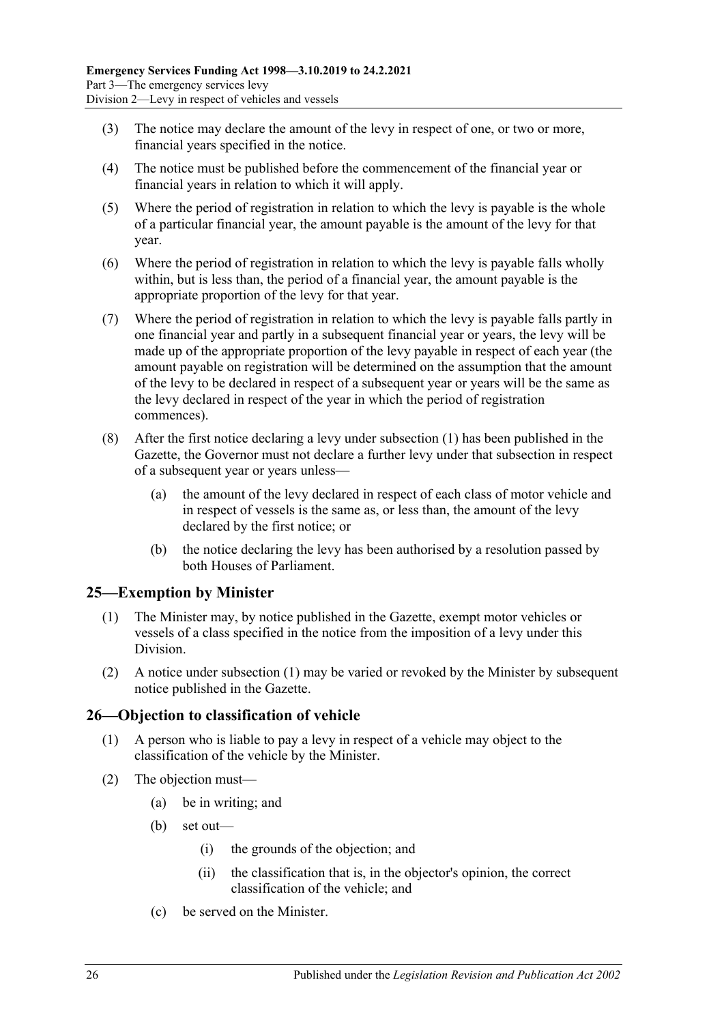- (3) The notice may declare the amount of the levy in respect of one, or two or more, financial years specified in the notice.
- (4) The notice must be published before the commencement of the financial year or financial years in relation to which it will apply.
- (5) Where the period of registration in relation to which the levy is payable is the whole of a particular financial year, the amount payable is the amount of the levy for that year.
- (6) Where the period of registration in relation to which the levy is payable falls wholly within, but is less than, the period of a financial year, the amount payable is the appropriate proportion of the levy for that year.
- (7) Where the period of registration in relation to which the levy is payable falls partly in one financial year and partly in a subsequent financial year or years, the levy will be made up of the appropriate proportion of the levy payable in respect of each year (the amount payable on registration will be determined on the assumption that the amount of the levy to be declared in respect of a subsequent year or years will be the same as the levy declared in respect of the year in which the period of registration commences).
- (8) After the first notice declaring a levy under [subsection](#page-24-5) (1) has been published in the Gazette, the Governor must not declare a further levy under that subsection in respect of a subsequent year or years unless—
	- (a) the amount of the levy declared in respect of each class of motor vehicle and in respect of vessels is the same as, or less than, the amount of the levy declared by the first notice; or
	- (b) the notice declaring the levy has been authorised by a resolution passed by both Houses of Parliament.

## <span id="page-25-2"></span><span id="page-25-0"></span>**25—Exemption by Minister**

- (1) The Minister may, by notice published in the Gazette, exempt motor vehicles or vessels of a class specified in the notice from the imposition of a levy under this Division.
- (2) A notice under [subsection](#page-25-2) (1) may be varied or revoked by the Minister by subsequent notice published in the Gazette.

## <span id="page-25-1"></span>**26—Objection to classification of vehicle**

- (1) A person who is liable to pay a levy in respect of a vehicle may object to the classification of the vehicle by the Minister.
- (2) The objection must—
	- (a) be in writing; and
	- (b) set out—
		- (i) the grounds of the objection; and
		- (ii) the classification that is, in the objector's opinion, the correct classification of the vehicle; and
	- (c) be served on the Minister.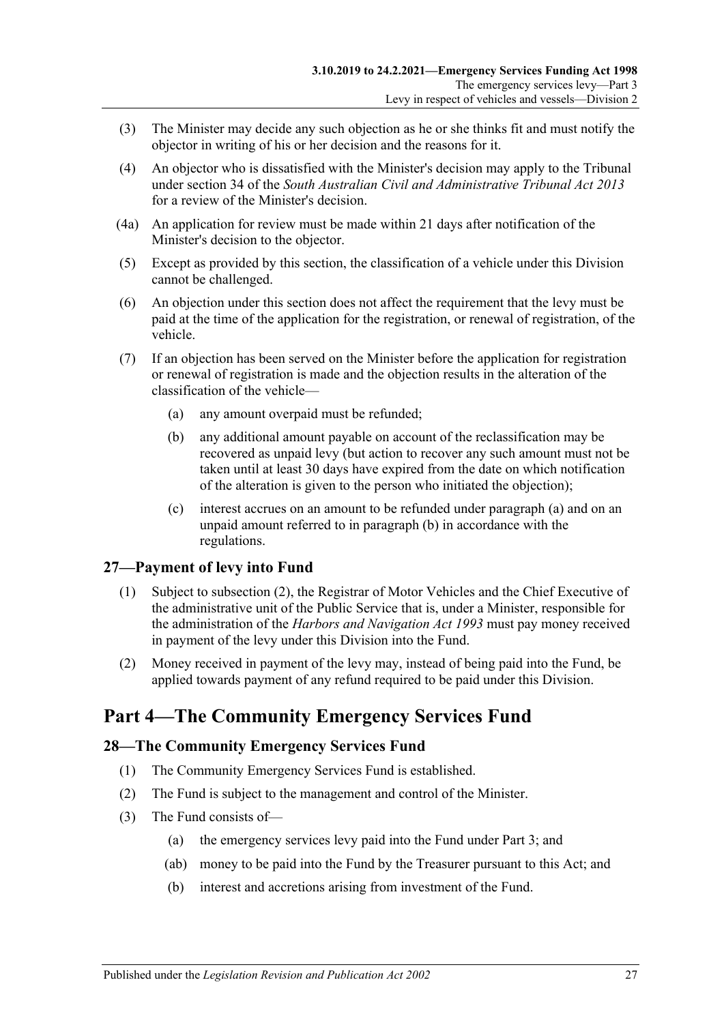- (3) The Minister may decide any such objection as he or she thinks fit and must notify the objector in writing of his or her decision and the reasons for it.
- (4) An objector who is dissatisfied with the Minister's decision may apply to the Tribunal under section 34 of the *[South Australian Civil and Administrative Tribunal Act](http://www.legislation.sa.gov.au/index.aspx?action=legref&type=act&legtitle=South%20Australian%20Civil%20and%20Administrative%20Tribunal%20Act%202013) 2013* for a review of the Minister's decision.
- (4a) An application for review must be made within 21 days after notification of the Minister's decision to the objector.
- (5) Except as provided by this section, the classification of a vehicle under this Division cannot be challenged.
- (6) An objection under this section does not affect the requirement that the levy must be paid at the time of the application for the registration, or renewal of registration, of the vehicle.
- <span id="page-26-4"></span><span id="page-26-3"></span>(7) If an objection has been served on the Minister before the application for registration or renewal of registration is made and the objection results in the alteration of the classification of the vehicle—
	- (a) any amount overpaid must be refunded;
	- (b) any additional amount payable on account of the reclassification may be recovered as unpaid levy (but action to recover any such amount must not be taken until at least 30 days have expired from the date on which notification of the alteration is given to the person who initiated the objection);
	- (c) interest accrues on an amount to be refunded under [paragraph](#page-26-3) (a) and on an unpaid amount referred to in [paragraph](#page-26-4) (b) in accordance with the regulations.

## <span id="page-26-0"></span>**27—Payment of levy into Fund**

- (1) Subject to [subsection](#page-26-5) (2), the Registrar of Motor Vehicles and the Chief Executive of the administrative unit of the Public Service that is, under a Minister, responsible for the administration of the *[Harbors and Navigation Act](http://www.legislation.sa.gov.au/index.aspx?action=legref&type=act&legtitle=Harbors%20and%20Navigation%20Act%201993) 1993* must pay money received in payment of the levy under this Division into the Fund.
- <span id="page-26-5"></span>(2) Money received in payment of the levy may, instead of being paid into the Fund, be applied towards payment of any refund required to be paid under this Division.

## <span id="page-26-1"></span>**Part 4—The Community Emergency Services Fund**

## <span id="page-26-2"></span>**28—The Community Emergency Services Fund**

- (1) The Community Emergency Services Fund is established.
- (2) The Fund is subject to the management and control of the Minister.
- (3) The Fund consists of—
	- (a) the emergency services levy paid into the Fund under [Part 3;](#page-4-1) and
	- (ab) money to be paid into the Fund by the Treasurer pursuant to this Act; and
	- (b) interest and accretions arising from investment of the Fund.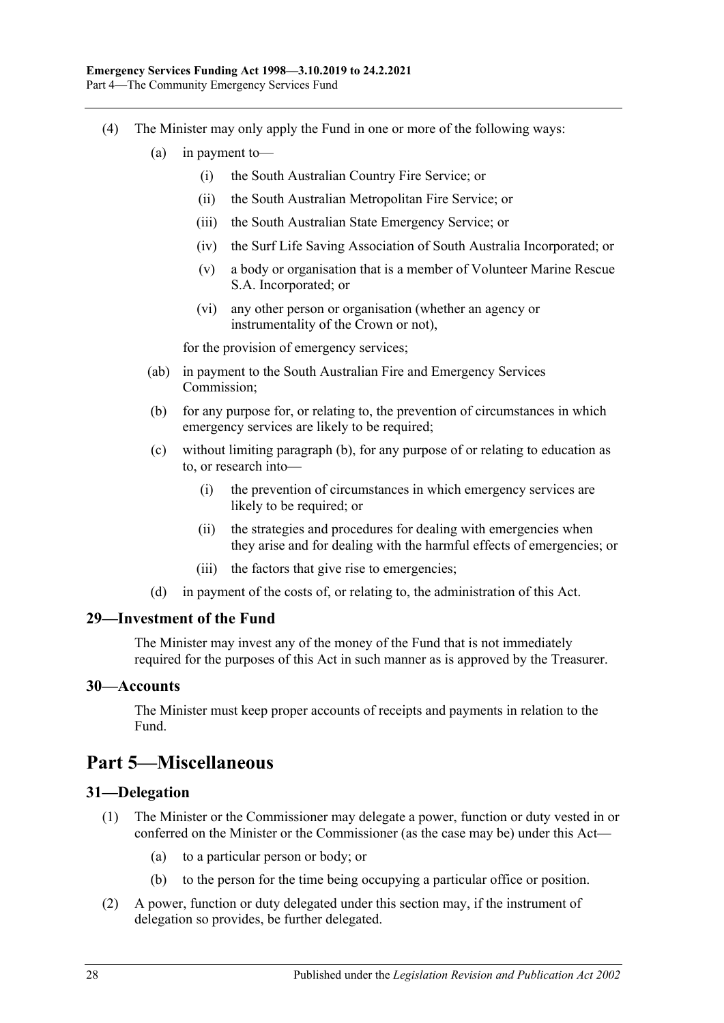- <span id="page-27-4"></span>(4) The Minister may only apply the Fund in one or more of the following ways:
	- (a) in payment to—
		- (i) the South Australian Country Fire Service; or
		- (ii) the South Australian Metropolitan Fire Service; or
		- (iii) the South Australian State Emergency Service; or
		- (iv) the Surf Life Saving Association of South Australia Incorporated; or
		- (v) a body or organisation that is a member of Volunteer Marine Rescue S.A. Incorporated; or
		- (vi) any other person or organisation (whether an agency or instrumentality of the Crown or not),

for the provision of emergency services;

- (ab) in payment to the South Australian Fire and Emergency Services Commission;
- <span id="page-27-5"></span>(b) for any purpose for, or relating to, the prevention of circumstances in which emergency services are likely to be required;
- (c) without limiting [paragraph](#page-27-5) (b), for any purpose of or relating to education as to, or research into—
	- (i) the prevention of circumstances in which emergency services are likely to be required; or
	- (ii) the strategies and procedures for dealing with emergencies when they arise and for dealing with the harmful effects of emergencies; or
	- (iii) the factors that give rise to emergencies;
- (d) in payment of the costs of, or relating to, the administration of this Act.

#### <span id="page-27-0"></span>**29—Investment of the Fund**

The Minister may invest any of the money of the Fund that is not immediately required for the purposes of this Act in such manner as is approved by the Treasurer.

#### <span id="page-27-1"></span>**30—Accounts**

The Minister must keep proper accounts of receipts and payments in relation to the Fund.

## <span id="page-27-2"></span>**Part 5—Miscellaneous**

#### <span id="page-27-3"></span>**31—Delegation**

- (1) The Minister or the Commissioner may delegate a power, function or duty vested in or conferred on the Minister or the Commissioner (as the case may be) under this Act—
	- (a) to a particular person or body; or
	- (b) to the person for the time being occupying a particular office or position.
- (2) A power, function or duty delegated under this section may, if the instrument of delegation so provides, be further delegated.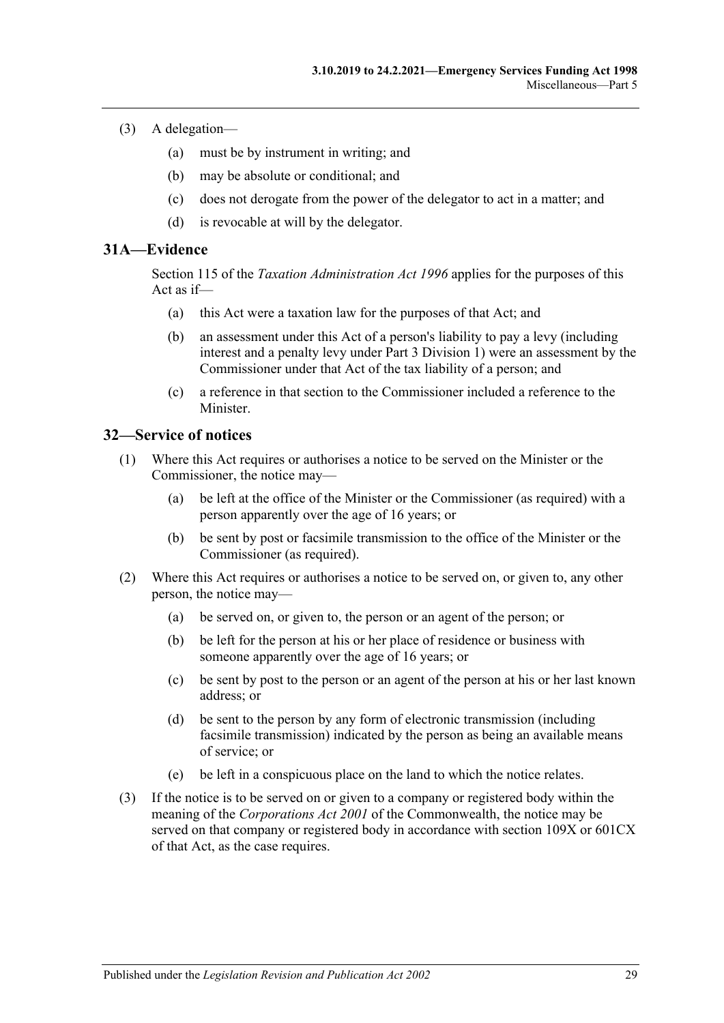- (3) A delegation—
	- (a) must be by instrument in writing; and
	- (b) may be absolute or conditional; and
	- (c) does not derogate from the power of the delegator to act in a matter; and
	- (d) is revocable at will by the delegator.

#### <span id="page-28-0"></span>**31A—Evidence**

Section 115 of the *[Taxation Administration Act](http://www.legislation.sa.gov.au/index.aspx?action=legref&type=act&legtitle=Taxation%20Administration%20Act%201996) 1996* applies for the purposes of this Act as if—

- (a) this Act were a taxation law for the purposes of that Act; and
- (b) an assessment under this Act of a person's liability to pay a levy (including interest and a penalty levy under [Part 3 Division 1\)](#page-4-2) were an assessment by the Commissioner under that Act of the tax liability of a person; and
- (c) a reference in that section to the Commissioner included a reference to the Minister.

#### <span id="page-28-1"></span>**32—Service of notices**

- (1) Where this Act requires or authorises a notice to be served on the Minister or the Commissioner, the notice may—
	- (a) be left at the office of the Minister or the Commissioner (as required) with a person apparently over the age of 16 years; or
	- (b) be sent by post or facsimile transmission to the office of the Minister or the Commissioner (as required).
- (2) Where this Act requires or authorises a notice to be served on, or given to, any other person, the notice may—
	- (a) be served on, or given to, the person or an agent of the person; or
	- (b) be left for the person at his or her place of residence or business with someone apparently over the age of 16 years; or
	- (c) be sent by post to the person or an agent of the person at his or her last known address; or
	- (d) be sent to the person by any form of electronic transmission (including facsimile transmission) indicated by the person as being an available means of service; or
	- (e) be left in a conspicuous place on the land to which the notice relates.
- (3) If the notice is to be served on or given to a company or registered body within the meaning of the *Corporations Act 2001* of the Commonwealth, the notice may be served on that company or registered body in accordance with section 109X or 601CX of that Act, as the case requires.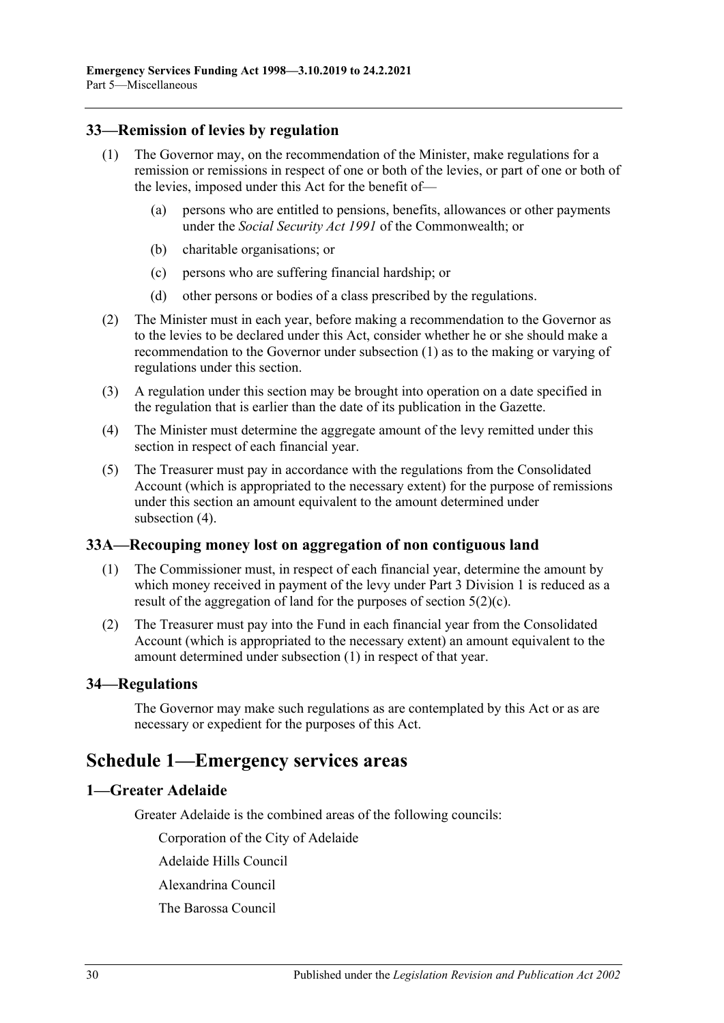## <span id="page-29-5"></span><span id="page-29-0"></span>**33—Remission of levies by regulation**

- (1) The Governor may, on the recommendation of the Minister, make regulations for a remission or remissions in respect of one or both of the levies, or part of one or both of the levies, imposed under this Act for the benefit of—
	- (a) persons who are entitled to pensions, benefits, allowances or other payments under the *Social Security Act 1991* of the Commonwealth; or
	- (b) charitable organisations; or
	- (c) persons who are suffering financial hardship; or
	- (d) other persons or bodies of a class prescribed by the regulations.
- (2) The Minister must in each year, before making a recommendation to the Governor as to the levies to be declared under this Act, consider whether he or she should make a recommendation to the Governor under [subsection](#page-29-5) (1) as to the making or varying of regulations under this section.
- (3) A regulation under this section may be brought into operation on a date specified in the regulation that is earlier than the date of its publication in the Gazette.
- <span id="page-29-6"></span>(4) The Minister must determine the aggregate amount of the levy remitted under this section in respect of each financial year.
- (5) The Treasurer must pay in accordance with the regulations from the Consolidated Account (which is appropriated to the necessary extent) for the purpose of remissions under this section an amount equivalent to the amount determined under [subsection](#page-29-6) (4).

## <span id="page-29-7"></span><span id="page-29-1"></span>**33A—Recouping money lost on aggregation of non contiguous land**

- (1) The Commissioner must, in respect of each financial year, determine the amount by which money received in payment of the levy under [Part 3 Division 1](#page-4-2) is reduced as a result of the aggregation of land for the purposes of [section](#page-4-8)  $5(2)(c)$ .
- (2) The Treasurer must pay into the Fund in each financial year from the Consolidated Account (which is appropriated to the necessary extent) an amount equivalent to the amount determined under [subsection](#page-29-7) (1) in respect of that year.

## <span id="page-29-2"></span>**34—Regulations**

The Governor may make such regulations as are contemplated by this Act or as are necessary or expedient for the purposes of this Act.

## <span id="page-29-3"></span>**Schedule 1—Emergency services areas**

## <span id="page-29-4"></span>**1—Greater Adelaide**

Greater Adelaide is the combined areas of the following councils:

Corporation of the City of Adelaide

Adelaide Hills Council

Alexandrina Council

The Barossa Council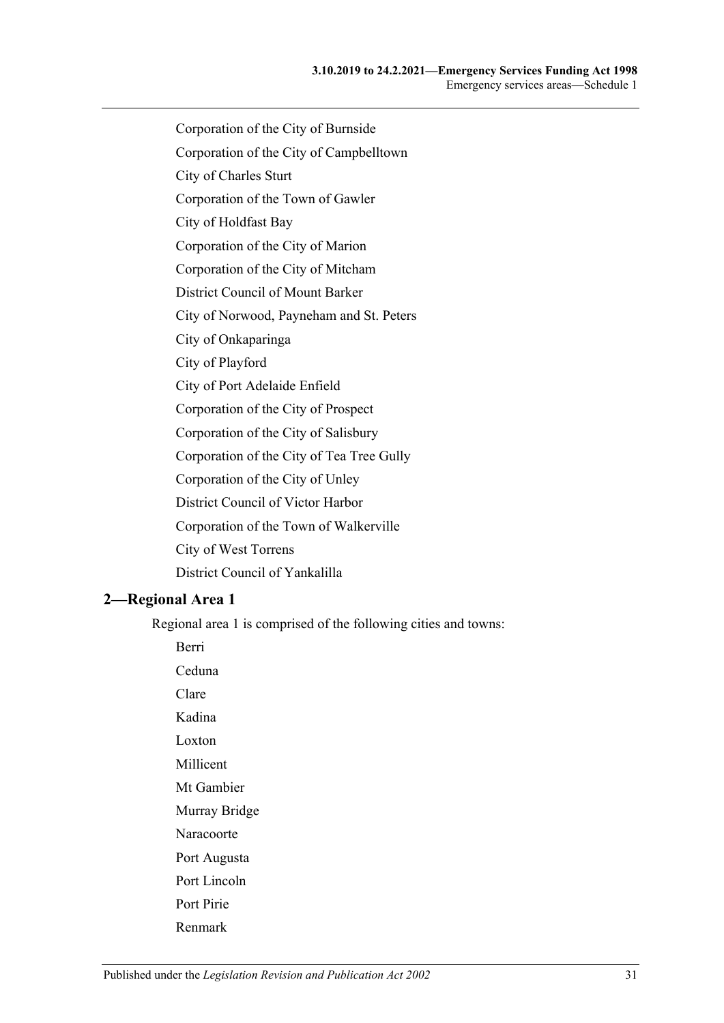- Corporation of the City of Burnside
- Corporation of the City of Campbelltown
- City of Charles Sturt
- Corporation of the Town of Gawler
- City of Holdfast Bay
- Corporation of the City of Marion
- Corporation of the City of Mitcham
- District Council of Mount Barker
- City of Norwood, Payneham and St. Peters
- City of Onkaparinga
- City of Playford
- City of Port Adelaide Enfield
- Corporation of the City of Prospect
- Corporation of the City of Salisbury
- Corporation of the City of Tea Tree Gully
- Corporation of the City of Unley
- District Council of Victor Harbor
- Corporation of the Town of Walkerville
- City of West Torrens
- District Council of Yankalilla

## <span id="page-30-0"></span>**2—Regional Area 1**

Berri

Regional area 1 is comprised of the following cities and towns:

Ceduna Clare Kadina Loxton Millicent Mt Gambier Murray Bridge Naracoorte Port Augusta Port Lincoln Port Pirie Renmark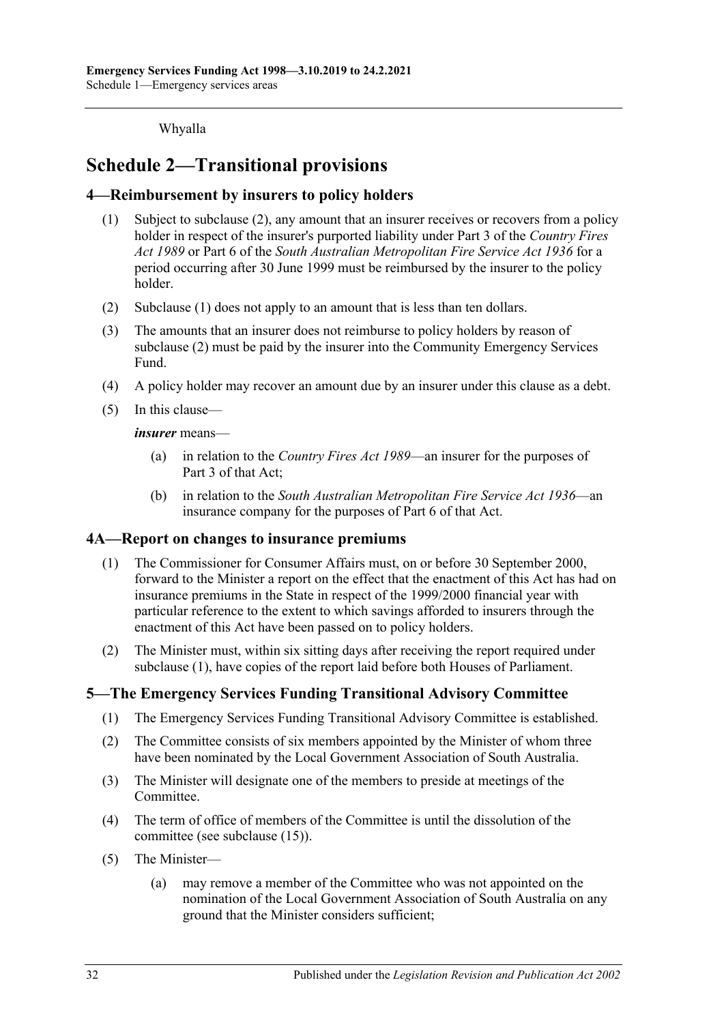Whyalla

## <span id="page-31-0"></span>**Schedule 2—Transitional provisions**

## <span id="page-31-5"></span><span id="page-31-1"></span>**4—Reimbursement by insurers to policy holders**

- (1) Subject to [subclause](#page-31-4) (2), any amount that an insurer receives or recovers from a policy holder in respect of the insurer's purported liability under Part 3 of the *[Country Fires](http://www.legislation.sa.gov.au/index.aspx?action=legref&type=act&legtitle=Country%20Fires%20Act%201989)  Act [1989](http://www.legislation.sa.gov.au/index.aspx?action=legref&type=act&legtitle=Country%20Fires%20Act%201989)* or Part 6 of the *[South Australian Metropolitan Fire Service Act](http://www.legislation.sa.gov.au/index.aspx?action=legref&type=act&legtitle=South%20Australian%20Metropolitan%20Fire%20Service%20Act%201936) 1936* for a period occurring after 30 June 1999 must be reimbursed by the insurer to the policy holder.
- <span id="page-31-4"></span>(2) [Subclause](#page-31-5) (1) does not apply to an amount that is less than ten dollars.
- (3) The amounts that an insurer does not reimburse to policy holders by reason of [subclause](#page-31-4) (2) must be paid by the insurer into the Community Emergency Services Fund.
- (4) A policy holder may recover an amount due by an insurer under this clause as a debt.
- (5) In this clause—

*insurer* means—

- (a) in relation to the *[Country Fires Act](http://www.legislation.sa.gov.au/index.aspx?action=legref&type=act&legtitle=Country%20Fires%20Act%201989) 1989*—an insurer for the purposes of Part 3 of that Act;
- (b) in relation to the *[South Australian Metropolitan Fire Service Act](http://www.legislation.sa.gov.au/index.aspx?action=legref&type=act&legtitle=South%20Australian%20Metropolitan%20Fire%20Service%20Act%201936) 1936*—an insurance company for the purposes of Part 6 of that Act.

#### <span id="page-31-6"></span><span id="page-31-2"></span>**4A—Report on changes to insurance premiums**

- (1) The Commissioner for Consumer Affairs must, on or before 30 September 2000, forward to the Minister a report on the effect that the enactment of this Act has had on insurance premiums in the State in respect of the 1999/2000 financial year with particular reference to the extent to which savings afforded to insurers through the enactment of this Act have been passed on to policy holders.
- (2) The Minister must, within six sitting days after receiving the report required under [subclause](#page-31-6) (1), have copies of the report laid before both Houses of Parliament.

## <span id="page-31-3"></span>**5—The Emergency Services Funding Transitional Advisory Committee**

- (1) The Emergency Services Funding Transitional Advisory Committee is established.
- (2) The Committee consists of six members appointed by the Minister of whom three have been nominated by the Local Government Association of South Australia.
- (3) The Minister will designate one of the members to preside at meetings of the Committee.
- (4) The term of office of members of the Committee is until the dissolution of the committee (see [subclause](#page-32-1) (15)).
- <span id="page-31-7"></span>(5) The Minister—
	- (a) may remove a member of the Committee who was not appointed on the nomination of the Local Government Association of South Australia on any ground that the Minister considers sufficient;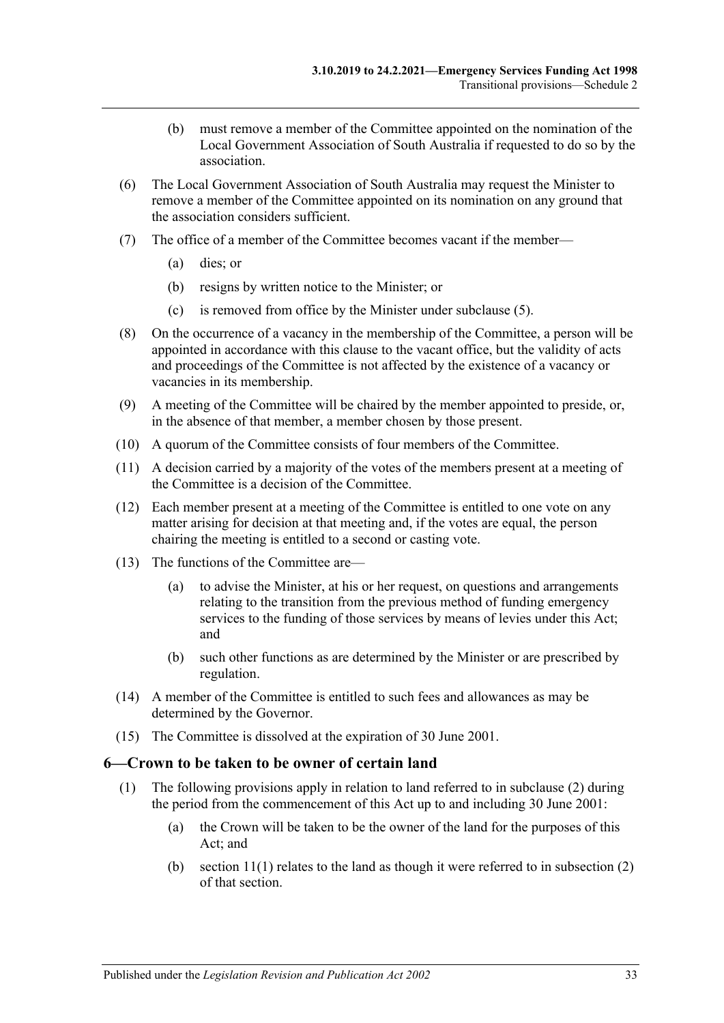- (b) must remove a member of the Committee appointed on the nomination of the Local Government Association of South Australia if requested to do so by the association.
- (6) The Local Government Association of South Australia may request the Minister to remove a member of the Committee appointed on its nomination on any ground that the association considers sufficient.
- (7) The office of a member of the Committee becomes vacant if the member—
	- (a) dies; or
	- (b) resigns by written notice to the Minister; or
	- (c) is removed from office by the Minister under [subclause](#page-31-7) (5).
- (8) On the occurrence of a vacancy in the membership of the Committee, a person will be appointed in accordance with this clause to the vacant office, but the validity of acts and proceedings of the Committee is not affected by the existence of a vacancy or vacancies in its membership.
- (9) A meeting of the Committee will be chaired by the member appointed to preside, or, in the absence of that member, a member chosen by those present.
- (10) A quorum of the Committee consists of four members of the Committee.
- (11) A decision carried by a majority of the votes of the members present at a meeting of the Committee is a decision of the Committee.
- (12) Each member present at a meeting of the Committee is entitled to one vote on any matter arising for decision at that meeting and, if the votes are equal, the person chairing the meeting is entitled to a second or casting vote.
- (13) The functions of the Committee are—
	- (a) to advise the Minister, at his or her request, on questions and arrangements relating to the transition from the previous method of funding emergency services to the funding of those services by means of levies under this Act; and
	- (b) such other functions as are determined by the Minister or are prescribed by regulation.
- (14) A member of the Committee is entitled to such fees and allowances as may be determined by the Governor.
- <span id="page-32-1"></span>(15) The Committee is dissolved at the expiration of 30 June 2001.

#### <span id="page-32-2"></span><span id="page-32-0"></span>**6—Crown to be taken to be owner of certain land**

- (1) The following provisions apply in relation to land referred to in [subclause](#page-33-0) (2) during the period from the commencement of this Act up to and including 30 June 2001:
	- (a) the Crown will be taken to be the owner of the land for the purposes of this Act; and
	- (b) section  $11(1)$  relates to the land as though it were referred to in subsection  $(2)$ of that section.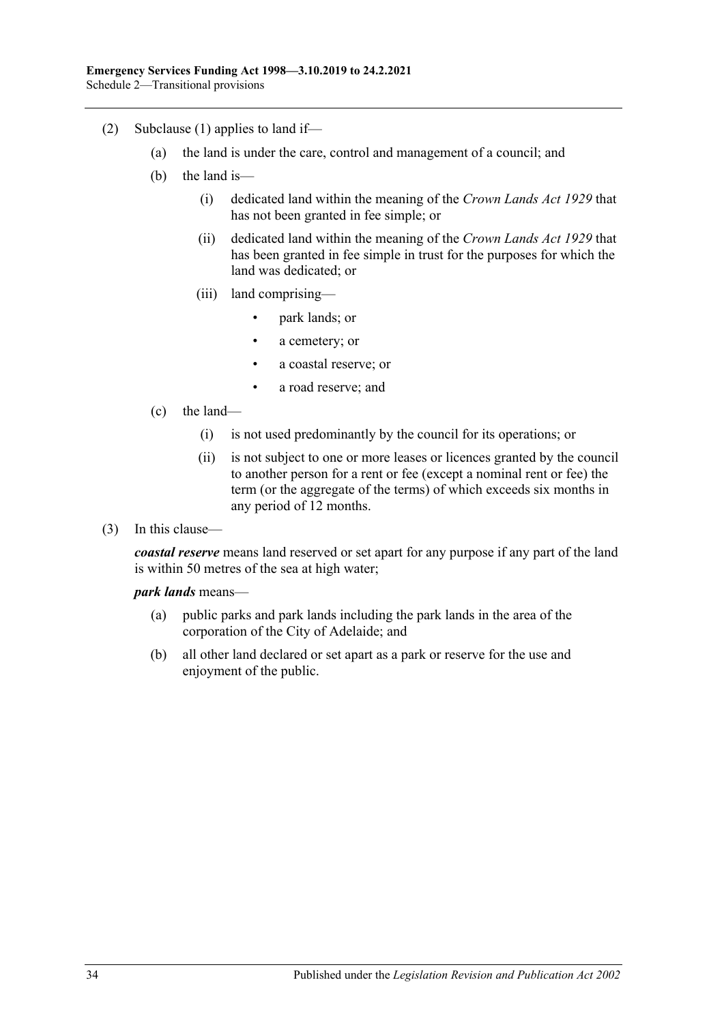- <span id="page-33-0"></span>(2) [Subclause](#page-32-2) (1) applies to land if—
	- (a) the land is under the care, control and management of a council; and
	- (b) the land is—
		- (i) dedicated land within the meaning of the *[Crown Lands Act](http://www.legislation.sa.gov.au/index.aspx?action=legref&type=act&legtitle=Crown%20Lands%20Act%201929) 1929* that has not been granted in fee simple; or
		- (ii) dedicated land within the meaning of the *[Crown Lands Act](http://www.legislation.sa.gov.au/index.aspx?action=legref&type=act&legtitle=Crown%20Lands%20Act%201929) 1929* that has been granted in fee simple in trust for the purposes for which the land was dedicated; or
		- (iii) land comprising—
			- park lands; or
			- a cemetery; or
			- a coastal reserve; or
			- a road reserve; and
	- (c) the land—
		- (i) is not used predominantly by the council for its operations; or
		- (ii) is not subject to one or more leases or licences granted by the council to another person for a rent or fee (except a nominal rent or fee) the term (or the aggregate of the terms) of which exceeds six months in any period of 12 months.
- (3) In this clause—

*coastal reserve* means land reserved or set apart for any purpose if any part of the land is within 50 metres of the sea at high water;

#### *park lands* means—

- (a) public parks and park lands including the park lands in the area of the corporation of the City of Adelaide; and
- (b) all other land declared or set apart as a park or reserve for the use and enjoyment of the public.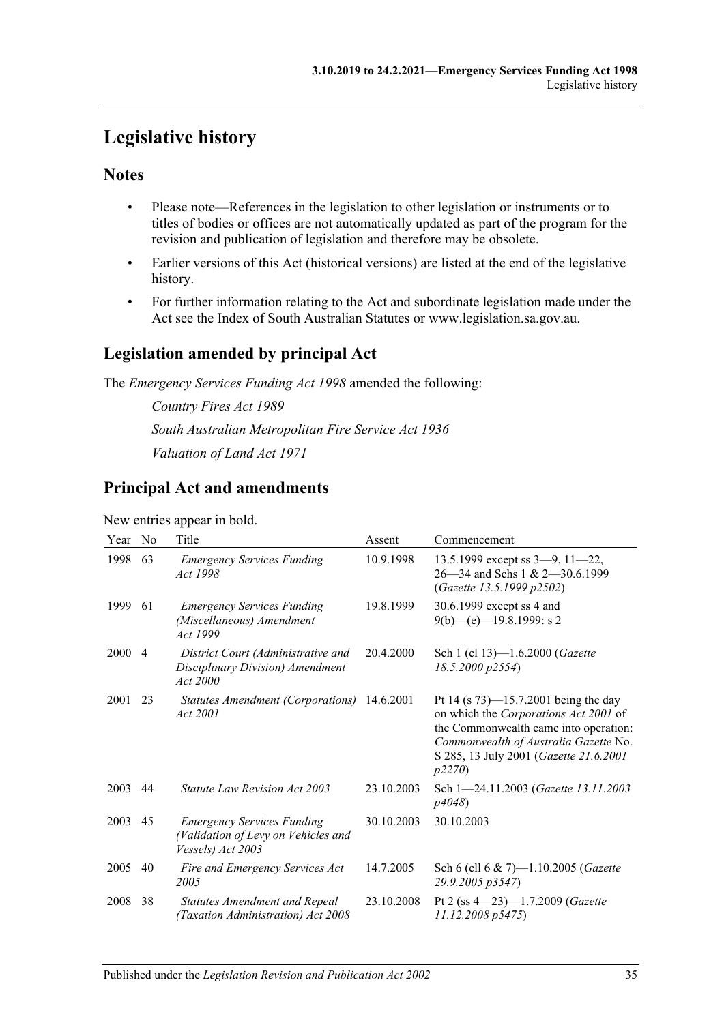## <span id="page-34-0"></span>**Legislative history**

## **Notes**

- Please note—References in the legislation to other legislation or instruments or to titles of bodies or offices are not automatically updated as part of the program for the revision and publication of legislation and therefore may be obsolete.
- Earlier versions of this Act (historical versions) are listed at the end of the legislative history.
- For further information relating to the Act and subordinate legislation made under the Act see the Index of South Australian Statutes or www.legislation.sa.gov.au.

## **Legislation amended by principal Act**

The *Emergency Services Funding Act 1998* amended the following:

*Country Fires Act 1989 South Australian Metropolitan Fire Service Act 1936 Valuation of Land Act 1971*

## **Principal Act and amendments**

#### New entries appear in bold.

| Year | No             | Title                                                                                         | Assent     | Commencement                                                                                                                                                                                                           |
|------|----------------|-----------------------------------------------------------------------------------------------|------------|------------------------------------------------------------------------------------------------------------------------------------------------------------------------------------------------------------------------|
| 1998 | 63             | <b>Emergency Services Funding</b><br>Act 1998                                                 | 10.9.1998  | 13.5.1999 except ss $3-9$ , $11-22$ ,<br>26–34 and Schs 1 & 2–30.6.1999<br>(Gazette 13.5.1999 p2502)                                                                                                                   |
| 1999 | 61             | <b>Emergency Services Funding</b><br>(Miscellaneous) Amendment<br>Act 1999                    | 19.8.1999  | 30.6.1999 except ss 4 and<br>$9(b)$ —(e)—19.8.1999: s 2                                                                                                                                                                |
| 2000 | $\overline{4}$ | District Court (Administrative and<br>Disciplinary Division) Amendment<br>Act 2000            | 20.4.2000  | Sch 1 (cl 13)-1.6.2000 (Gazette<br>18.5.2000 p2554)                                                                                                                                                                    |
| 2001 | 23             | Statutes Amendment (Corporations) 14.6.2001<br>Act 2001                                       |            | Pt 14 (s $73$ )—15.7.2001 being the day<br>on which the Corporations Act 2001 of<br>the Commonwealth came into operation:<br>Commonwealth of Australia Gazette No.<br>S 285, 13 July 2001 (Gazette 21.6.2001)<br>p2270 |
| 2003 | 44             | <i>Statute Law Revision Act 2003</i>                                                          | 23.10.2003 | Sch 1-24.11.2003 (Gazette 13.11.2003<br>p4048                                                                                                                                                                          |
| 2003 | 45             | <b>Emergency Services Funding</b><br>(Validation of Levy on Vehicles and<br>Vessels) Act 2003 | 30.10.2003 | 30.10.2003                                                                                                                                                                                                             |
| 2005 | 40             | Fire and Emergency Services Act<br>2005                                                       | 14.7.2005  | Sch 6 (cll 6 & 7)-1.10.2005 (Gazette<br>29.9.2005 p3547)                                                                                                                                                               |
| 2008 | 38             | <b>Statutes Amendment and Repeal</b><br>(Taxation Administration) Act 2008                    | 23.10.2008 | Pt 2 (ss $4-23$ )-1.7.2009 (Gazette<br>11.12.2008 p5475                                                                                                                                                                |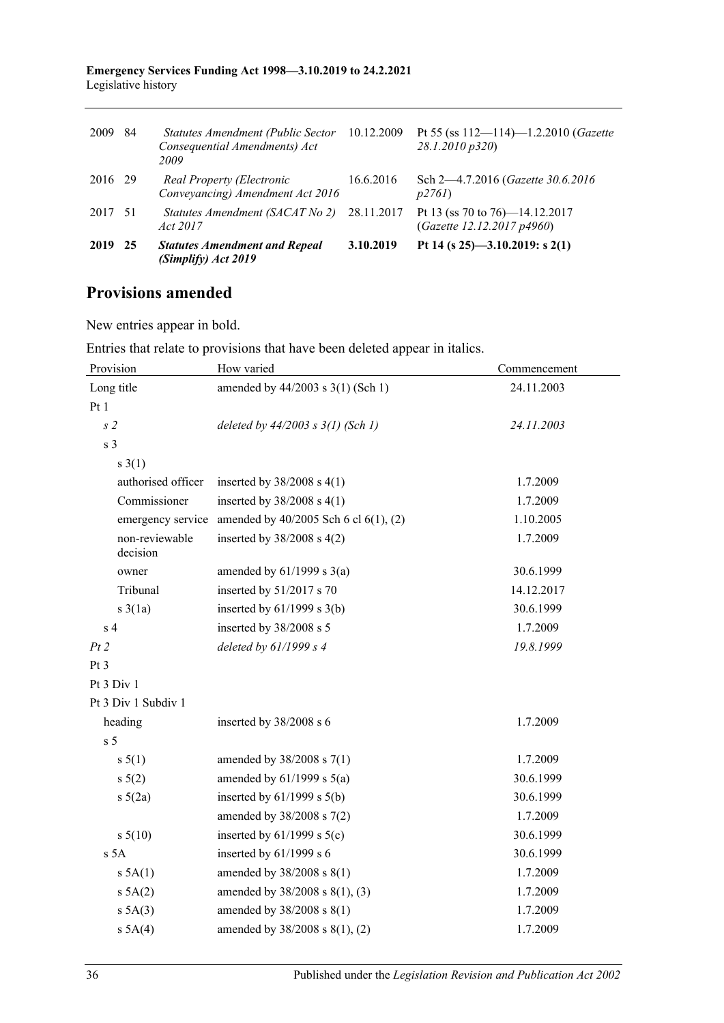#### **Emergency Services Funding Act 1998—3.10.2019 to 24.2.2021** Legislative history

| 2009    | 84   | Statutes Amendment (Public Sector<br>Consequential Amendments) Act<br>2009 | 10.12.2009 | Pt 55 (ss $112 - 114$ )-1.2.2010 ( <i>Gazette</i><br>28.1.2010 p320) |
|---------|------|----------------------------------------------------------------------------|------------|----------------------------------------------------------------------|
| 2016 29 |      | Real Property (Electronic<br>Conveyancing) Amendment Act 2016              | 16.6.2016  | Sch 2—4.7.2016 (Gazette 30.6.2016)<br>p2761                          |
| 2017 51 |      | Statutes Amendment (SACAT No 2) 28.11.2017<br>Act 2017                     |            | Pt 13 (ss 70 to 76)-14.12.2017<br>(Gazette 12.12.2017 p4960)         |
| 2019    | - 25 | <b>Statutes Amendment and Repeal</b><br>(Simplify) Act 2019                | 3.10.2019  | Pt 14 (s $25$ )-3.10.2019: s 2(1)                                    |

## **Provisions amended**

New entries appear in bold.

Entries that relate to provisions that have been deleted appear in italics.

| Provision                  | How varied                                                   | Commencement |  |
|----------------------------|--------------------------------------------------------------|--------------|--|
| Long title                 | amended by 44/2003 s 3(1) (Sch 1)                            | 24.11.2003   |  |
| Pt1                        |                                                              |              |  |
| s <sub>2</sub>             | deleted by $44/2003$ s $3(1)$ (Sch 1)                        | 24.11.2003   |  |
| s <sub>3</sub>             |                                                              |              |  |
| $s \; 3(1)$                |                                                              |              |  |
| authorised officer         | inserted by $38/2008$ s 4(1)                                 | 1.7.2009     |  |
| Commissioner               | inserted by $38/2008$ s 4(1)                                 | 1.7.2009     |  |
|                            | emergency service amended by $40/2005$ Sch 6 cl $6(1)$ , (2) | 1.10.2005    |  |
| non-reviewable<br>decision | inserted by $38/2008$ s 4(2)                                 | 1.7.2009     |  |
| owner                      | amended by $61/1999$ s $3(a)$                                | 30.6.1999    |  |
| Tribunal                   | inserted by 51/2017 s 70                                     | 14.12.2017   |  |
| $s \; 3(1a)$               | inserted by $61/1999$ s $3(b)$                               | 30.6.1999    |  |
| s <sub>4</sub>             | inserted by 38/2008 s 5                                      | 1.7.2009     |  |
| Pt2                        | deleted by 61/1999 s 4                                       | 19.8.1999    |  |
| Pt 3                       |                                                              |              |  |
| Pt 3 Div 1                 |                                                              |              |  |
| Pt 3 Div 1 Subdiv 1        |                                                              |              |  |
| heading                    | inserted by $38/2008$ s 6                                    | 1.7.2009     |  |
| s <sub>5</sub>             |                                                              |              |  |
| s 5(1)                     | amended by $38/2008$ s $7(1)$                                | 1.7.2009     |  |
| $s \ 5(2)$                 | amended by $61/1999$ s $5(a)$                                | 30.6.1999    |  |
| $s\ 5(2a)$                 | inserted by $61/1999$ s $5(b)$                               | 30.6.1999    |  |
|                            | amended by $38/2008$ s $7(2)$                                | 1.7.2009     |  |
| $s\ 5(10)$                 | inserted by $61/1999$ s $5(c)$                               | 30.6.1999    |  |
| s <sub>5A</sub>            | inserted by $61/1999$ s $6$                                  | 30.6.1999    |  |
| $s$ 5A(1)                  | amended by 38/2008 s 8(1)                                    | 1.7.2009     |  |
| s 5A(2)                    | amended by 38/2008 s 8(1), (3)                               | 1.7.2009     |  |
| $s$ 5A(3)                  | amended by 38/2008 s 8(1)                                    | 1.7.2009     |  |
| s 5A(4)                    | amended by 38/2008 s 8(1), (2)                               | 1.7.2009     |  |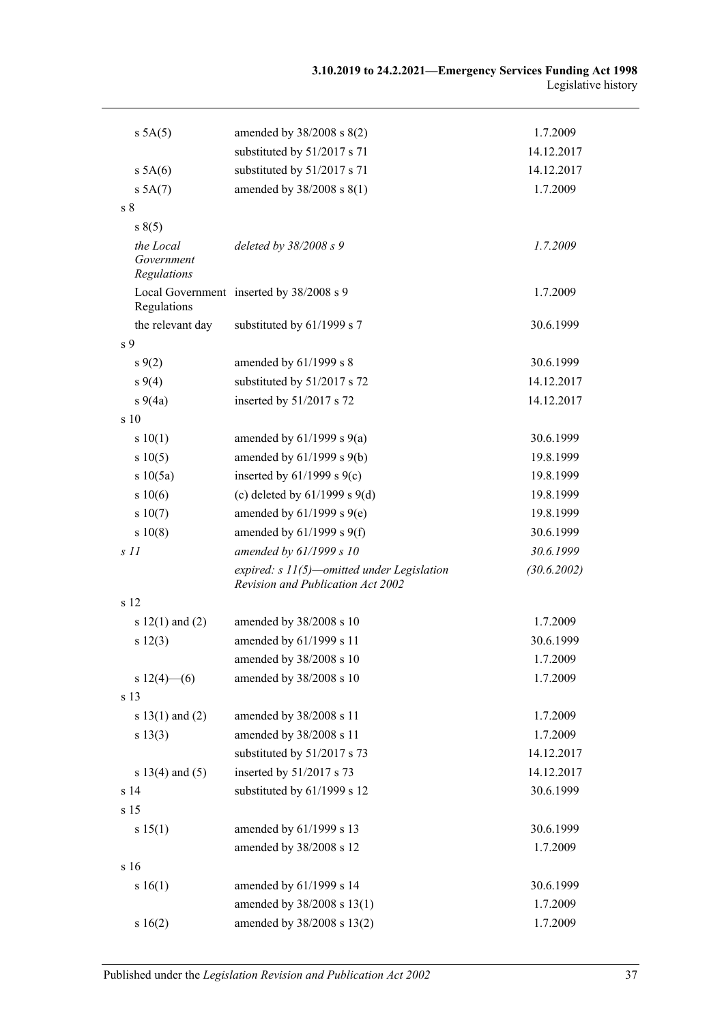| s 5A(5)                                | amended by $38/2008$ s $8(2)$                                                     | 1.7.2009    |
|----------------------------------------|-----------------------------------------------------------------------------------|-------------|
|                                        | substituted by 51/2017 s 71                                                       | 14.12.2017  |
| s 5A(6)                                | substituted by 51/2017 s 71                                                       | 14.12.2017  |
| s 5A(7)                                | amended by $38/2008$ s $8(1)$                                                     | 1.7.2009    |
| s <sub>8</sub>                         |                                                                                   |             |
| s(5)                                   |                                                                                   |             |
| the Local<br>Government<br>Regulations | deleted by $38/2008 s$ 9                                                          | 1.7.2009    |
| Regulations                            | Local Government inserted by 38/2008 s 9                                          | 1.7.2009    |
| the relevant day                       | substituted by 61/1999 s 7                                                        | 30.6.1999   |
| s <sub>9</sub>                         |                                                                                   |             |
| $s \, 9(2)$                            | amended by 61/1999 s 8                                                            | 30.6.1999   |
| $s\,9(4)$                              | substituted by 51/2017 s 72                                                       | 14.12.2017  |
| $s\ 9(4a)$                             | inserted by 51/2017 s 72                                                          | 14.12.2017  |
| s 10                                   |                                                                                   |             |
| s 10(1)                                | amended by $61/1999$ s $9(a)$                                                     | 30.6.1999   |
| s 10(5)                                | amended by $61/1999$ s $9(b)$                                                     | 19.8.1999   |
| s 10(5a)                               | inserted by $61/1999$ s $9(c)$                                                    | 19.8.1999   |
| s 10(6)                                | (c) deleted by $61/1999$ s $9(d)$                                                 | 19.8.1999   |
| s 10(7)                                | amended by $61/1999$ s $9(e)$                                                     | 19.8.1999   |
| s 10(8)                                | amended by $61/1999$ s $9(f)$                                                     | 30.6.1999   |
| S <sub>11</sub>                        | amended by 61/1999 s 10                                                           | 30.6.1999   |
|                                        | expired: $s$ 11(5)—omitted under Legislation<br>Revision and Publication Act 2002 | (30.6.2002) |
| s 12                                   |                                                                                   |             |
| s $12(1)$ and $(2)$                    | amended by 38/2008 s 10                                                           | 1.7.2009    |
| s 12(3)                                | amended by 61/1999 s 11                                                           | 30.6.1999   |
|                                        | amended by 38/2008 s 10                                                           | 1.7.2009    |
| $s 12(4)$ (6)                          | amended by 38/2008 s 10                                                           | 1.7.2009    |
| s 13                                   |                                                                                   |             |
| s $13(1)$ and $(2)$                    | amended by 38/2008 s 11                                                           | 1.7.2009    |
| s 13(3)                                | amended by 38/2008 s 11                                                           | 1.7.2009    |
|                                        | substituted by 51/2017 s 73                                                       | 14.12.2017  |
| s 13(4) and (5)                        | inserted by 51/2017 s 73                                                          | 14.12.2017  |
| s <sub>14</sub>                        | substituted by 61/1999 s 12                                                       | 30.6.1999   |
| s 15                                   |                                                                                   |             |
| s 15(1)                                | amended by 61/1999 s 13                                                           | 30.6.1999   |
|                                        | amended by 38/2008 s 12                                                           | 1.7.2009    |
| s 16                                   |                                                                                   |             |
| s 16(1)                                | amended by 61/1999 s 14                                                           | 30.6.1999   |
|                                        | amended by 38/2008 s 13(1)                                                        | 1.7.2009    |
| s 16(2)                                | amended by 38/2008 s 13(2)                                                        | 1.7.2009    |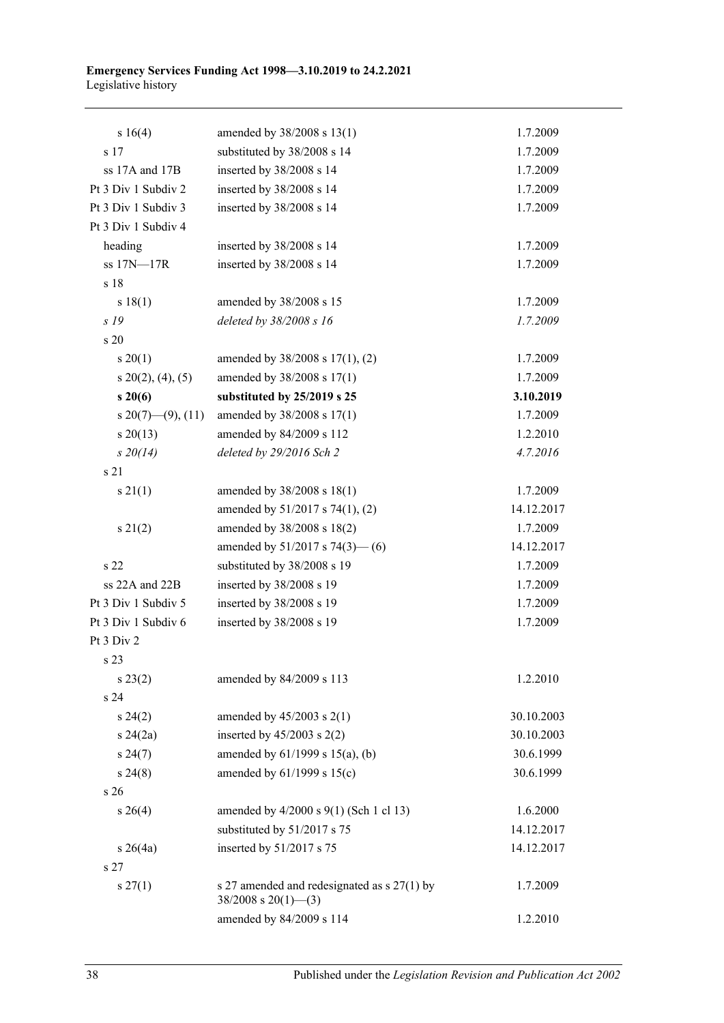#### **Emergency Services Funding Act 1998—3.10.2019 to 24.2.2021** Legislative history

| s 16(4)              | amended by 38/2008 s 13(1)                                                 | 1.7.2009   |
|----------------------|----------------------------------------------------------------------------|------------|
| s 17                 | substituted by 38/2008 s 14                                                | 1.7.2009   |
| ss 17A and 17B       | inserted by 38/2008 s 14                                                   | 1.7.2009   |
| Pt 3 Div 1 Subdiv 2  | inserted by 38/2008 s 14                                                   | 1.7.2009   |
| Pt 3 Div 1 Subdiv 3  | inserted by 38/2008 s 14                                                   | 1.7.2009   |
| Pt 3 Div 1 Subdiv 4  |                                                                            |            |
| heading              | inserted by 38/2008 s 14                                                   | 1.7.2009   |
| ss 17N-17R           | inserted by 38/2008 s 14                                                   | 1.7.2009   |
| s 18                 |                                                                            |            |
| s 18(1)              | amended by 38/2008 s 15                                                    | 1.7.2009   |
| s 19                 | deleted by 38/2008 s 16                                                    | 1.7.2009   |
| s 20                 |                                                                            |            |
| $s \ 20(1)$          | amended by 38/2008 s 17(1), (2)                                            | 1.7.2009   |
| $s\ 20(2), (4), (5)$ | amended by 38/2008 s 17(1)                                                 | 1.7.2009   |
| $s\,20(6)$           | substituted by 25/2019 s 25                                                | 3.10.2019  |
| s 20(7)—(9), (11)    | amended by 38/2008 s 17(1)                                                 | 1.7.2009   |
| $s \ 20(13)$         | amended by 84/2009 s 112                                                   | 1.2.2010   |
| $s\,20(14)$          | deleted by 29/2016 Sch 2                                                   | 4.7.2016   |
| s 21                 |                                                                            |            |
| $s \, 21(1)$         | amended by 38/2008 s 18(1)                                                 | 1.7.2009   |
|                      | amended by 51/2017 s 74(1), (2)                                            | 14.12.2017 |
| s 21(2)              | amended by 38/2008 s 18(2)                                                 | 1.7.2009   |
|                      | amended by $51/2017$ s $74(3)$ — (6)                                       | 14.12.2017 |
| s 22                 | substituted by 38/2008 s 19                                                | 1.7.2009   |
| ss 22A and 22B       | inserted by 38/2008 s 19                                                   | 1.7.2009   |
| Pt 3 Div 1 Subdiv 5  | inserted by 38/2008 s 19                                                   | 1.7.2009   |
| Pt 3 Div 1 Subdiv 6  | inserted by 38/2008 s 19                                                   | 1.7.2009   |
| Pt 3 Div 2           |                                                                            |            |
| s 23                 |                                                                            |            |
| $s\,23(2)$           | amended by 84/2009 s 113                                                   | 1.2.2010   |
| s 24                 |                                                                            |            |
| $s\,24(2)$           | amended by $45/2003$ s $2(1)$                                              | 30.10.2003 |
| $s\,24(2a)$          | inserted by $45/2003$ s $2(2)$                                             | 30.10.2003 |
| $s\,24(7)$           | amended by 61/1999 s 15(a), (b)                                            | 30.6.1999  |
| $s\,24(8)$           | amended by 61/1999 s 15(c)                                                 | 30.6.1999  |
| s 26                 |                                                                            |            |
| $s \; 26(4)$         | amended by 4/2000 s 9(1) (Sch 1 cl 13)                                     | 1.6.2000   |
|                      | substituted by 51/2017 s 75                                                | 14.12.2017 |
| $s \; 26(4a)$        | inserted by 51/2017 s 75                                                   | 14.12.2017 |
| s <sub>27</sub>      |                                                                            |            |
| $s \, 27(1)$         | s 27 amended and redesignated as $s$ 27(1) by<br>$38/2008$ s $20(1)$ - (3) | 1.7.2009   |
|                      | amended by 84/2009 s 114                                                   | 1.2.2010   |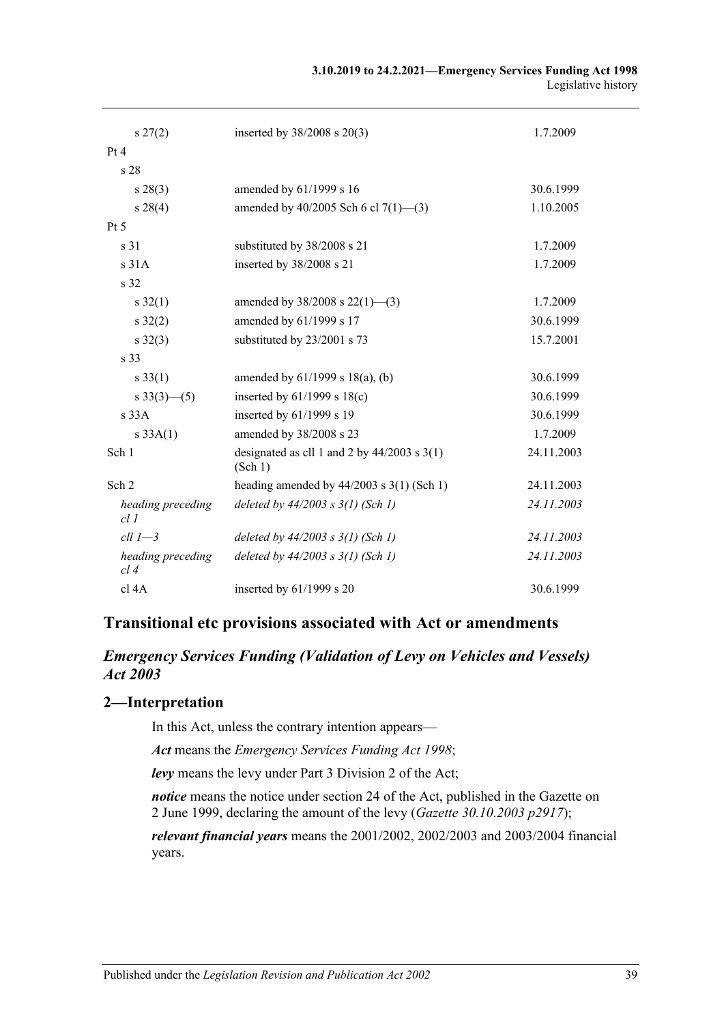| $s\,27(2)$                | inserted by $38/2008$ s $20(3)$                          | 1.7.2009   |
|---------------------------|----------------------------------------------------------|------------|
| Pt 4                      |                                                          |            |
| s 28                      |                                                          |            |
| $s\,28(3)$                | amended by 61/1999 s 16                                  | 30.6.1999  |
| $s\,28(4)$                | amended by $40/2005$ Sch 6 cl $7(1)$ —(3)                | 1.10.2005  |
| Pt 5                      |                                                          |            |
| s 31                      | substituted by 38/2008 s 21                              | 1.7.2009   |
| s31A                      | inserted by 38/2008 s 21                                 | 1.7.2009   |
| s 32                      |                                                          |            |
| $s \, 32(1)$              | amended by $38/2008$ s $22(1)$ —(3)                      | 1.7.2009   |
| $s \, 32(2)$              | amended by 61/1999 s 17                                  | 30.6.1999  |
| $s \, 32(3)$              | substituted by 23/2001 s 73                              | 15.7.2001  |
| s 33                      |                                                          |            |
| $s \, 33(1)$              | amended by $61/1999$ s $18(a)$ , (b)                     | 30.6.1999  |
| $s \frac{33(3) - (5)}{ }$ | inserted by $61/1999$ s $18(c)$                          | 30.6.1999  |
| s33A                      | inserted by 61/1999 s 19                                 | 30.6.1999  |
| s 33A(1)                  | amended by 38/2008 s 23                                  | 1.7.2009   |
| Sch 1                     | designated as cll 1 and 2 by $44/2003$ s 3(1)<br>(Sch 1) | 24.11.2003 |
| Sch 2                     | heading amended by $44/2003$ s $3(1)$ (Sch 1)            | 24.11.2003 |
| heading preceding<br>cl1  | deleted by $44/2003$ s $3(1)$ (Sch 1)                    | 24.11.2003 |
| $ell 1 - 3$               | deleted by $44/2003$ s $3(1)$ (Sch 1)                    | 24.11.2003 |
| heading preceding<br>cl4  | deleted by $44/2003$ s $3(1)$ (Sch 1)                    | 24.11.2003 |
| cl 4A                     | inserted by 61/1999 s 20                                 | 30.6.1999  |

## **Transitional etc provisions associated with Act or amendments**

## *Emergency Services Funding (Validation of Levy on Vehicles and Vessels) Act 2003*

## **2—Interpretation**

In this Act, unless the contrary intention appears—

*Act* means the *[Emergency Services Funding Act](http://www.legislation.sa.gov.au/index.aspx?action=legref&type=act&legtitle=Emergency%20Services%20Funding%20Act%201998) 1998*;

*levy* means the levy under Part 3 Division 2 of the Act;

*notice* means the notice under section 24 of the Act, published in the Gazette on 2 June 1999, declaring the amount of the levy (*Gazette 30.10.2003 p2917*);

*relevant financial years* means the 2001/2002, 2002/2003 and 2003/2004 financial years.